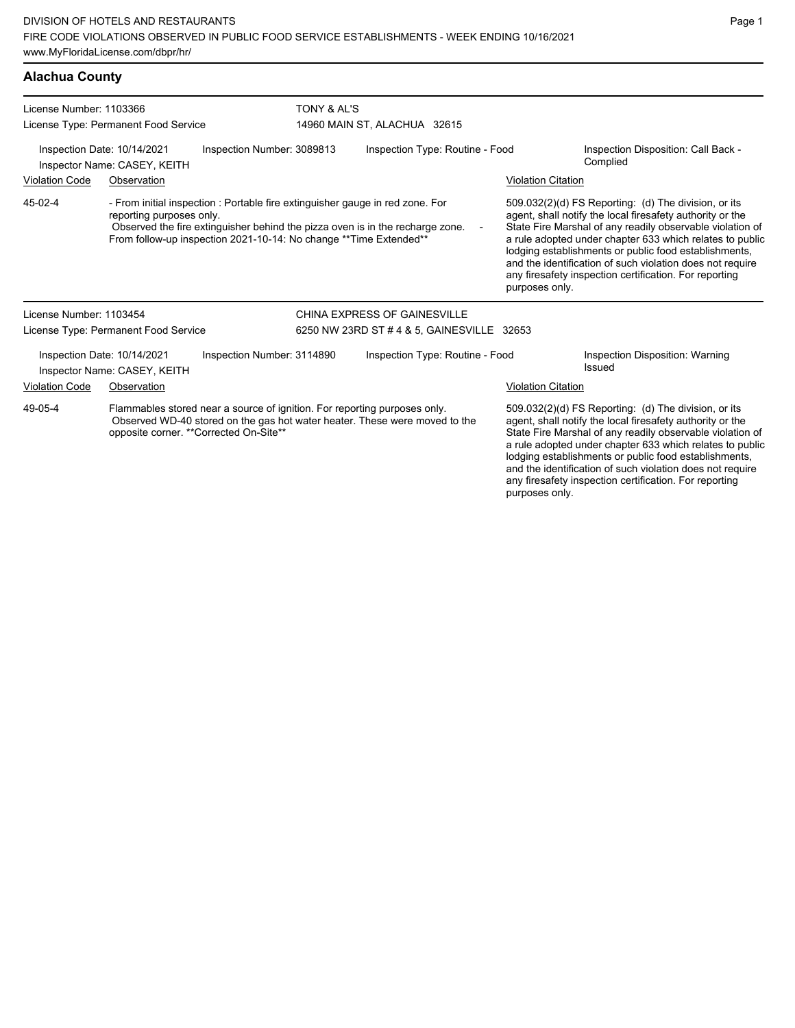### **Alachua County**

| License Number: 1103366                                                                                                                                                                                       | License Type: Permanent Food Service                        | TONY & AL'S                                                                                                                                                                                                                          | 14960 MAIN ST, ALACHUA 32615               |                           |                                                                                                                                                                                                                                                                                                                                                                                                                            |  |
|---------------------------------------------------------------------------------------------------------------------------------------------------------------------------------------------------------------|-------------------------------------------------------------|--------------------------------------------------------------------------------------------------------------------------------------------------------------------------------------------------------------------------------------|--------------------------------------------|---------------------------|----------------------------------------------------------------------------------------------------------------------------------------------------------------------------------------------------------------------------------------------------------------------------------------------------------------------------------------------------------------------------------------------------------------------------|--|
|                                                                                                                                                                                                               | Inspection Date: 10/14/2021<br>Inspector Name: CASEY, KEITH | Inspection Number: 3089813                                                                                                                                                                                                           | Inspection Type: Routine - Food            |                           | Inspection Disposition: Call Back -<br>Complied                                                                                                                                                                                                                                                                                                                                                                            |  |
| <b>Violation Code</b>                                                                                                                                                                                         | Observation                                                 |                                                                                                                                                                                                                                      |                                            | <b>Violation Citation</b> |                                                                                                                                                                                                                                                                                                                                                                                                                            |  |
| 45-02-4                                                                                                                                                                                                       | reporting purposes only.                                    | - From initial inspection : Portable fire extinguisher gauge in red zone. For<br>Observed the fire extinguisher behind the pizza oven is in the recharge zone.<br>From follow-up inspection 2021-10-14: No change ** Time Extended** |                                            | purposes only.            | 509.032(2)(d) FS Reporting: (d) The division, or its<br>agent, shall notify the local firesafety authority or the<br>State Fire Marshal of any readily observable violation of<br>a rule adopted under chapter 633 which relates to public<br>lodging establishments or public food establishments,<br>and the identification of such violation does not require<br>any firesafety inspection certification. For reporting |  |
| License Number: 1103454                                                                                                                                                                                       |                                                             |                                                                                                                                                                                                                                      | CHINA EXPRESS OF GAINESVILLE               |                           |                                                                                                                                                                                                                                                                                                                                                                                                                            |  |
|                                                                                                                                                                                                               | License Type: Permanent Food Service                        |                                                                                                                                                                                                                                      | 6250 NW 23RD ST # 4 & 5, GAINESVILLE 32653 |                           |                                                                                                                                                                                                                                                                                                                                                                                                                            |  |
|                                                                                                                                                                                                               | Inspection Date: 10/14/2021<br>Inspector Name: CASEY, KEITH | Inspection Number: 3114890                                                                                                                                                                                                           | Inspection Type: Routine - Food            |                           | Inspection Disposition: Warning<br>Issued                                                                                                                                                                                                                                                                                                                                                                                  |  |
| <b>Violation Code</b>                                                                                                                                                                                         | Observation                                                 |                                                                                                                                                                                                                                      |                                            | <b>Violation Citation</b> |                                                                                                                                                                                                                                                                                                                                                                                                                            |  |
| 49-05-4<br>Flammables stored near a source of ignition. For reporting purposes only.<br>Observed WD-40 stored on the gas hot water heater. These were moved to the<br>opposite corner. ** Corrected On-Site** |                                                             |                                                                                                                                                                                                                                      |                                            |                           | 509.032(2)(d) FS Reporting: (d) The division, or its<br>agent, shall notify the local firesafety authority or the<br>State Fire Marshal of any readily observable violation of<br>a rule adopted under chapter 633 which relates to public<br>lodging establishments or public food establishments,<br>and the identification of such violation does not require                                                           |  |

any firesafety inspection certification. For reporting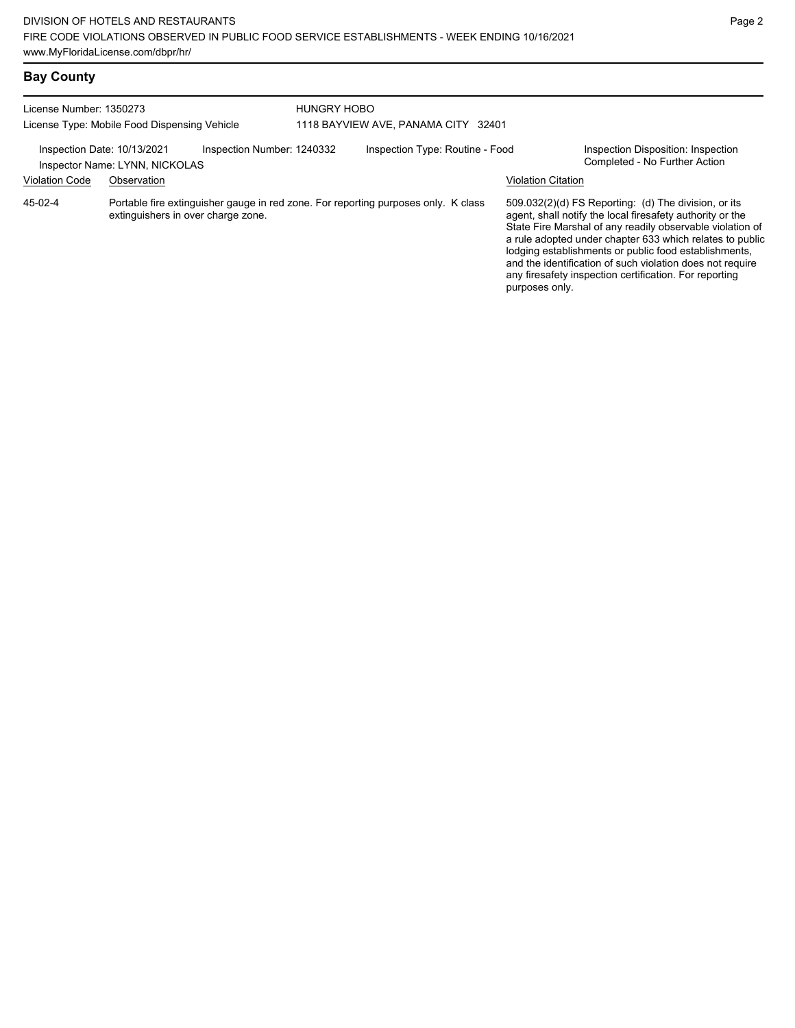| License Number: 1350273                                                                                                             |             | <b>HUNGRY HOBO</b> |                                     |                |                                                                                                                                                                                                                                                                                                                                                                                                                            |  |  |
|-------------------------------------------------------------------------------------------------------------------------------------|-------------|--------------------|-------------------------------------|----------------|----------------------------------------------------------------------------------------------------------------------------------------------------------------------------------------------------------------------------------------------------------------------------------------------------------------------------------------------------------------------------------------------------------------------------|--|--|
| License Type: Mobile Food Dispensing Vehicle                                                                                        |             |                    | 1118 BAYVIEW AVE, PANAMA CITY 32401 |                |                                                                                                                                                                                                                                                                                                                                                                                                                            |  |  |
| Inspection Date: 10/13/2021<br>Inspection Number: 1240332<br>Inspector Name: LYNN, NICKOLAS                                         |             |                    | Inspection Type: Routine - Food     |                | Inspection Disposition: Inspection<br>Completed - No Further Action                                                                                                                                                                                                                                                                                                                                                        |  |  |
| <b>Violation Code</b>                                                                                                               | Observation |                    |                                     |                | Violation Citation                                                                                                                                                                                                                                                                                                                                                                                                         |  |  |
| Portable fire extinguisher gauge in red zone. For reporting purposes only. K class<br>45-02-4<br>extinguishers in over charge zone. |             |                    |                                     | purposes only. | 509.032(2)(d) FS Reporting: (d) The division, or its<br>agent, shall notify the local firesafety authority or the<br>State Fire Marshal of any readily observable violation of<br>a rule adopted under chapter 633 which relates to public<br>lodging establishments or public food establishments,<br>and the identification of such violation does not require<br>any firesafety inspection certification. For reporting |  |  |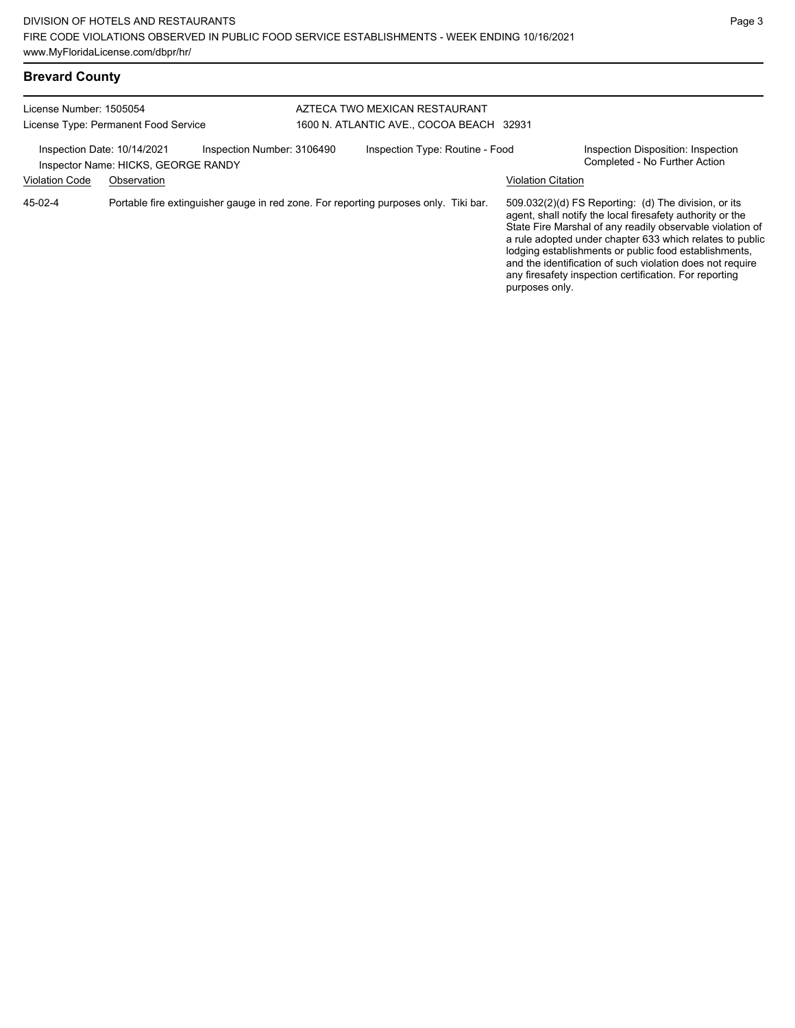| <b>Brevard County</b>   |                                                                    |                                                                                      |  |                                          |                    |                                                                                                                                                                                                                                                                                                                                                                  |
|-------------------------|--------------------------------------------------------------------|--------------------------------------------------------------------------------------|--|------------------------------------------|--------------------|------------------------------------------------------------------------------------------------------------------------------------------------------------------------------------------------------------------------------------------------------------------------------------------------------------------------------------------------------------------|
| License Number: 1505054 |                                                                    |                                                                                      |  | AZTECA TWO MEXICAN RESTAURANT            |                    |                                                                                                                                                                                                                                                                                                                                                                  |
|                         | License Type: Permanent Food Service                               |                                                                                      |  | 1600 N. ATLANTIC AVE., COCOA BEACH 32931 |                    |                                                                                                                                                                                                                                                                                                                                                                  |
|                         | Inspection Date: 10/14/2021<br>Inspector Name: HICKS, GEORGE RANDY | Inspection Number: 3106490                                                           |  | Inspection Type: Routine - Food          |                    | Inspection Disposition: Inspection<br>Completed - No Further Action                                                                                                                                                                                                                                                                                              |
| <b>Violation Code</b>   | Observation                                                        |                                                                                      |  |                                          | Violation Citation |                                                                                                                                                                                                                                                                                                                                                                  |
| 45-02-4                 |                                                                    | Portable fire extinguisher gauge in red zone. For reporting purposes only. Tiki bar. |  |                                          |                    | 509.032(2)(d) FS Reporting: (d) The division, or its<br>agent, shall notify the local firesafety authority or the<br>State Fire Marshal of any readily observable violation of<br>a rule adopted under chapter 633 which relates to public<br>lodging establishments or public food establishments,<br>and the identification of such violation does not require |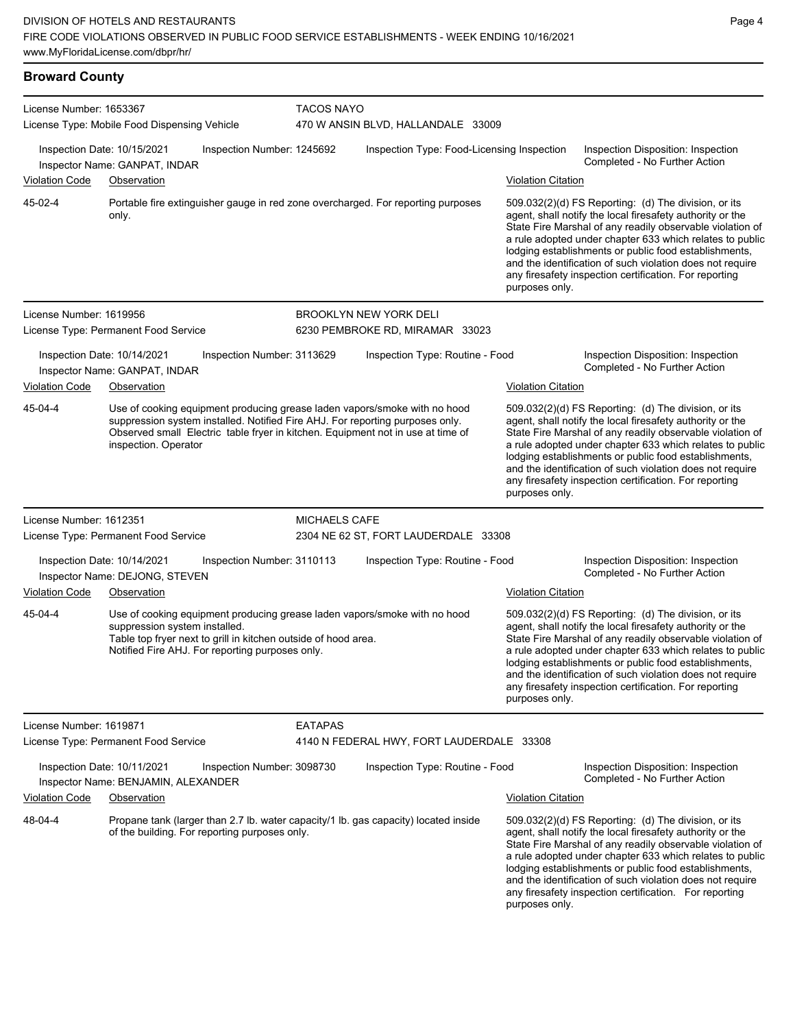### **Broward County**

| License Number: 1653367                                      |                                                                    |                                                                                                                   | <b>TACOS NAYO</b>                  |                                                                                                                                                                                                                                               |                           |                                                                                                                                                                                                                                                                                                                                                                                                                              |  |  |
|--------------------------------------------------------------|--------------------------------------------------------------------|-------------------------------------------------------------------------------------------------------------------|------------------------------------|-----------------------------------------------------------------------------------------------------------------------------------------------------------------------------------------------------------------------------------------------|---------------------------|------------------------------------------------------------------------------------------------------------------------------------------------------------------------------------------------------------------------------------------------------------------------------------------------------------------------------------------------------------------------------------------------------------------------------|--|--|
|                                                              | License Type: Mobile Food Dispensing Vehicle                       |                                                                                                                   | 470 W ANSIN BLVD, HALLANDALE 33009 |                                                                                                                                                                                                                                               |                           |                                                                                                                                                                                                                                                                                                                                                                                                                              |  |  |
|                                                              | Inspection Date: 10/15/2021<br>Inspector Name: GANPAT, INDAR       | Inspection Number: 1245692                                                                                        |                                    | Inspection Type: Food-Licensing Inspection<br>Inspection Disposition: Inspection<br>Completed - No Further Action                                                                                                                             |                           |                                                                                                                                                                                                                                                                                                                                                                                                                              |  |  |
| <b>Violation Code</b>                                        | Observation                                                        |                                                                                                                   |                                    |                                                                                                                                                                                                                                               | <b>Violation Citation</b> |                                                                                                                                                                                                                                                                                                                                                                                                                              |  |  |
| 45-02-4                                                      | only.                                                              |                                                                                                                   |                                    | Portable fire extinguisher gauge in red zone overcharged. For reporting purposes                                                                                                                                                              | purposes only.            | $509.032(2)(d)$ FS Reporting: (d) The division, or its<br>agent, shall notify the local firesafety authority or the<br>State Fire Marshal of any readily observable violation of<br>a rule adopted under chapter 633 which relates to public<br>lodging establishments or public food establishments,<br>and the identification of such violation does not require<br>any firesafety inspection certification. For reporting |  |  |
| License Number: 1619956                                      |                                                                    |                                                                                                                   |                                    | <b>BROOKLYN NEW YORK DELI</b>                                                                                                                                                                                                                 |                           |                                                                                                                                                                                                                                                                                                                                                                                                                              |  |  |
|                                                              | License Type: Permanent Food Service                               |                                                                                                                   |                                    | 6230 PEMBROKE RD, MIRAMAR 33023                                                                                                                                                                                                               |                           |                                                                                                                                                                                                                                                                                                                                                                                                                              |  |  |
| Inspection Date: 10/14/2021<br>Inspector Name: GANPAT, INDAR |                                                                    | Inspection Number: 3113629                                                                                        |                                    | Inspection Type: Routine - Food                                                                                                                                                                                                               |                           | Inspection Disposition: Inspection<br>Completed - No Further Action                                                                                                                                                                                                                                                                                                                                                          |  |  |
| <b>Violation Code</b>                                        | Observation                                                        |                                                                                                                   |                                    |                                                                                                                                                                                                                                               | <b>Violation Citation</b> |                                                                                                                                                                                                                                                                                                                                                                                                                              |  |  |
| 45-04-4                                                      | inspection. Operator                                               |                                                                                                                   |                                    | Use of cooking equipment producing grease laden vapors/smoke with no hood<br>suppression system installed. Notified Fire AHJ. For reporting purposes only.<br>Observed small Electric table fryer in kitchen. Equipment not in use at time of | purposes only.            | 509.032(2)(d) FS Reporting: (d) The division, or its<br>agent, shall notify the local firesafety authority or the<br>State Fire Marshal of any readily observable violation of<br>a rule adopted under chapter 633 which relates to public<br>lodging establishments or public food establishments,<br>and the identification of such violation does not require<br>any firesafety inspection certification. For reporting   |  |  |
| License Number: 1612351                                      |                                                                    |                                                                                                                   | <b>MICHAELS CAFE</b>               |                                                                                                                                                                                                                                               |                           |                                                                                                                                                                                                                                                                                                                                                                                                                              |  |  |
|                                                              | License Type: Permanent Food Service                               |                                                                                                                   |                                    | 2304 NE 62 ST, FORT LAUDERDALE 33308                                                                                                                                                                                                          |                           |                                                                                                                                                                                                                                                                                                                                                                                                                              |  |  |
|                                                              | Inspection Date: 10/14/2021<br>Inspector Name: DEJONG, STEVEN      | Inspection Number: 3110113                                                                                        |                                    | Inspection Type: Routine - Food                                                                                                                                                                                                               |                           | Inspection Disposition: Inspection<br>Completed - No Further Action                                                                                                                                                                                                                                                                                                                                                          |  |  |
| <b>Violation Code</b>                                        | Observation                                                        |                                                                                                                   |                                    |                                                                                                                                                                                                                                               | <b>Violation Citation</b> |                                                                                                                                                                                                                                                                                                                                                                                                                              |  |  |
| 45-04-4                                                      | suppression system installed.                                      | Table top fryer next to grill in kitchen outside of hood area.<br>Notified Fire AHJ. For reporting purposes only. |                                    | Use of cooking equipment producing grease laden vapors/smoke with no hood                                                                                                                                                                     | purposes only.            | 509.032(2)(d) FS Reporting: (d) The division, or its<br>agent, shall notify the local firesafety authority or the<br>State Fire Marshal of any readily observable violation of<br>a rule adopted under chapter 633 which relates to public<br>lodging establishments or public food establishments,<br>and the identification of such violation does not require<br>any firesafety inspection certification. For reporting   |  |  |
| License Number: 1619871                                      |                                                                    |                                                                                                                   | <b>EATAPAS</b>                     |                                                                                                                                                                                                                                               |                           |                                                                                                                                                                                                                                                                                                                                                                                                                              |  |  |
|                                                              | License Type: Permanent Food Service                               |                                                                                                                   |                                    | 4140 N FEDERAL HWY, FORT LAUDERDALE 33308                                                                                                                                                                                                     |                           |                                                                                                                                                                                                                                                                                                                                                                                                                              |  |  |
|                                                              | Inspection Date: 10/11/2021<br>Inspector Name: BENJAMIN, ALEXANDER | Inspection Number: 3098730                                                                                        |                                    | Inspection Type: Routine - Food                                                                                                                                                                                                               |                           | Inspection Disposition: Inspection<br>Completed - No Further Action                                                                                                                                                                                                                                                                                                                                                          |  |  |
| <b>Violation Code</b>                                        | Observation                                                        |                                                                                                                   |                                    |                                                                                                                                                                                                                                               | <b>Violation Citation</b> |                                                                                                                                                                                                                                                                                                                                                                                                                              |  |  |
| 48-04-4                                                      |                                                                    | of the building. For reporting purposes only.                                                                     |                                    | Propane tank (larger than 2.7 lb. water capacity/1 lb. gas capacity) located inside                                                                                                                                                           | purposes only.            | 509.032(2)(d) FS Reporting: (d) The division, or its<br>agent, shall notify the local firesafety authority or the<br>State Fire Marshal of any readily observable violation of<br>a rule adopted under chapter 633 which relates to public<br>lodging establishments or public food establishments,<br>and the identification of such violation does not require<br>any firesafety inspection certification. For reporting   |  |  |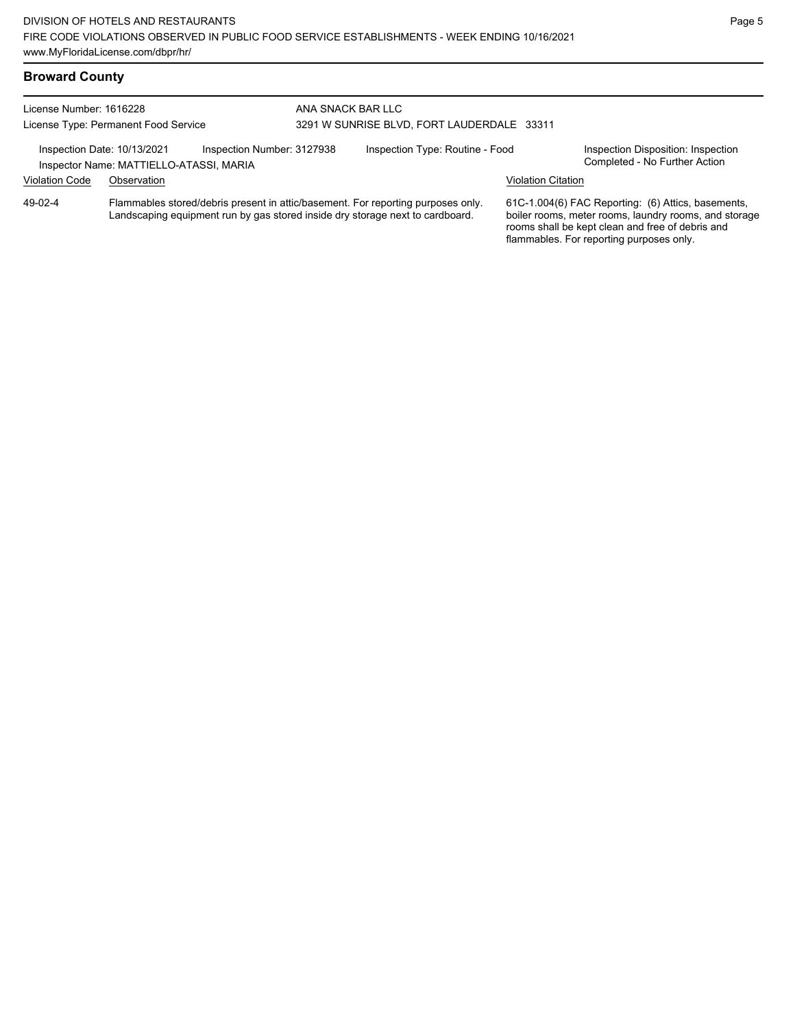## **Broward County**

| License Number: 1616228<br>License Type: Permanent Food Service                                      |             | ANA SNACK BAR LLC<br>3291 W SUNRISE BLVD, FORT LAUDERDALE 33311                                                                                                   |                                 |  |                                                                                                                                                                                                             |  |
|------------------------------------------------------------------------------------------------------|-------------|-------------------------------------------------------------------------------------------------------------------------------------------------------------------|---------------------------------|--|-------------------------------------------------------------------------------------------------------------------------------------------------------------------------------------------------------------|--|
| Inspection Number: 3127938<br>Inspection Date: 10/13/2021<br>Inspector Name: MATTIELLO-ATASSI, MARIA |             |                                                                                                                                                                   | Inspection Type: Routine - Food |  | Inspection Disposition: Inspection<br>Completed - No Further Action                                                                                                                                         |  |
| <b>Violation Code</b>                                                                                | Observation |                                                                                                                                                                   |                                 |  | Violation Citation                                                                                                                                                                                          |  |
| 49-02-4                                                                                              |             | Flammables stored/debris present in attic/basement. For reporting purposes only.<br>Landscaping equipment run by gas stored inside dry storage next to cardboard. |                                 |  | 61C-1.004(6) FAC Reporting: (6) Attics, basements,<br>boiler rooms, meter rooms, laundry rooms, and storage<br>rooms shall be kept clean and free of debris and<br>flammables. For reporting purposes only. |  |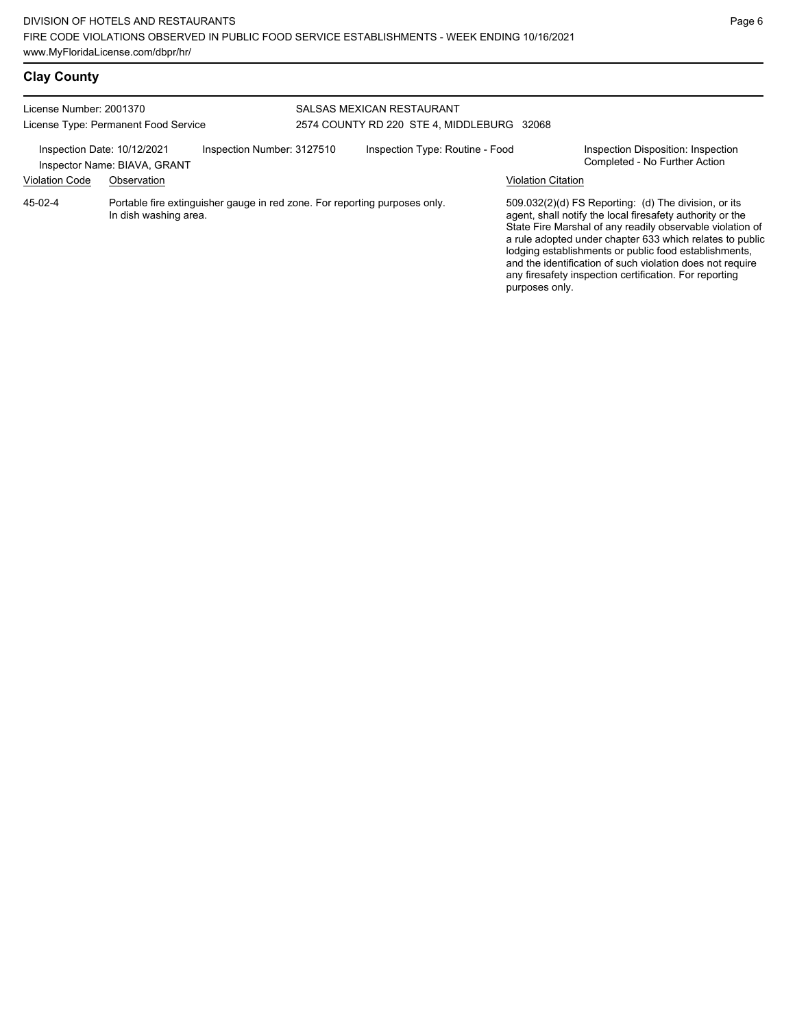| License Number: 2001370<br>License Type: Permanent Food Service                                                |                                             |                            | SALSAS MEXICAN RESTAURANT<br>2574 COUNTY RD 220 STE 4, MIDDLEBURG 32068 |                           |                                                                                                                                                                                                                                                                                                                                                                                                                            |  |  |
|----------------------------------------------------------------------------------------------------------------|---------------------------------------------|----------------------------|-------------------------------------------------------------------------|---------------------------|----------------------------------------------------------------------------------------------------------------------------------------------------------------------------------------------------------------------------------------------------------------------------------------------------------------------------------------------------------------------------------------------------------------------------|--|--|
| Inspection Date: 10/12/2021<br><b>Violation Code</b>                                                           | Inspector Name: BIAVA, GRANT<br>Observation | Inspection Number: 3127510 | Inspection Type: Routine - Food                                         | <b>Violation Citation</b> | Inspection Disposition: Inspection<br>Completed - No Further Action                                                                                                                                                                                                                                                                                                                                                        |  |  |
| Portable fire extinguisher gauge in red zone. For reporting purposes only.<br>45-02-4<br>In dish washing area. |                                             |                            |                                                                         | purposes only.            | 509.032(2)(d) FS Reporting: (d) The division, or its<br>agent, shall notify the local firesafety authority or the<br>State Fire Marshal of any readily observable violation of<br>a rule adopted under chapter 633 which relates to public<br>lodging establishments or public food establishments,<br>and the identification of such violation does not require<br>any firesafety inspection certification. For reporting |  |  |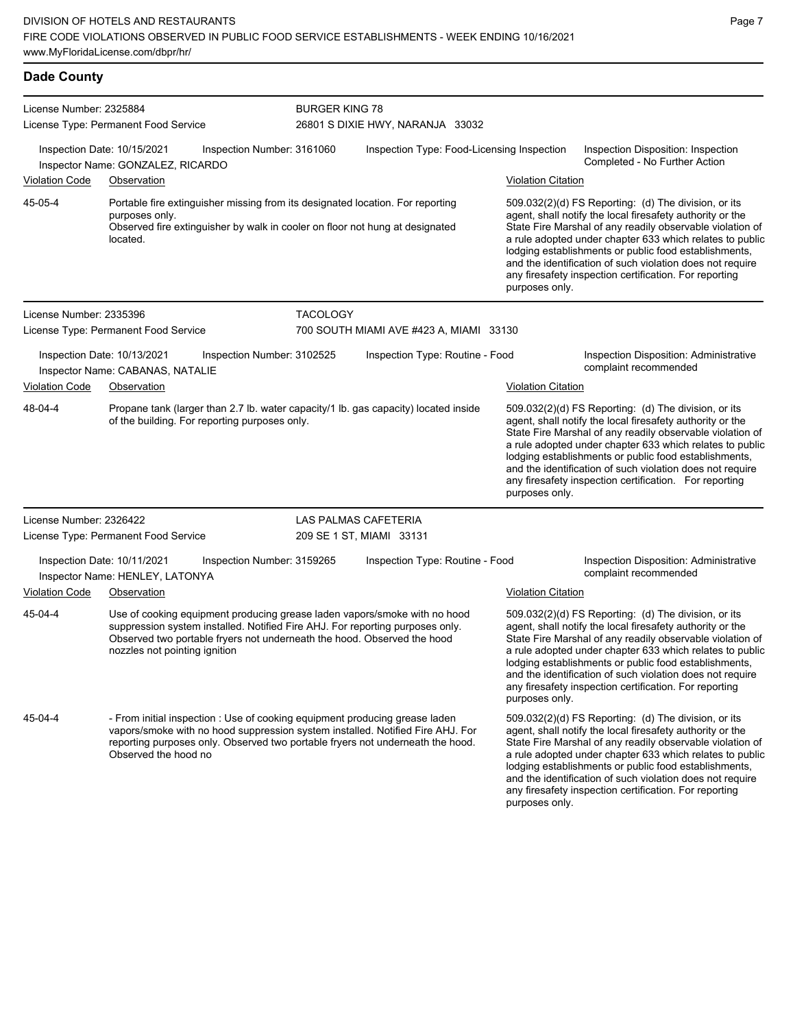### **Dade County**

| License Number: 2325884 | License Type: Permanent Food Service                                                                                                                                                                                                                                    |                            | <b>BURGER KING 78</b><br>26801 S DIXIE HWY, NARANJA 33032 |                           |                                                                                                                                                                                                                                                                                                                                                                                                                            |  |  |
|-------------------------|-------------------------------------------------------------------------------------------------------------------------------------------------------------------------------------------------------------------------------------------------------------------------|----------------------------|-----------------------------------------------------------|---------------------------|----------------------------------------------------------------------------------------------------------------------------------------------------------------------------------------------------------------------------------------------------------------------------------------------------------------------------------------------------------------------------------------------------------------------------|--|--|
|                         | Inspection Date: 10/15/2021<br>Inspector Name: GONZALEZ, RICARDO                                                                                                                                                                                                        | Inspection Number: 3161060 | Inspection Type: Food-Licensing Inspection                |                           | Inspection Disposition: Inspection<br>Completed - No Further Action                                                                                                                                                                                                                                                                                                                                                        |  |  |
| <b>Violation Code</b>   | Observation                                                                                                                                                                                                                                                             |                            |                                                           | <b>Violation Citation</b> |                                                                                                                                                                                                                                                                                                                                                                                                                            |  |  |
| 45-05-4                 | Portable fire extinguisher missing from its designated location. For reporting<br>purposes only.<br>Observed fire extinguisher by walk in cooler on floor not hung at designated<br>located.                                                                            |                            |                                                           | purposes only.            | 509.032(2)(d) FS Reporting: (d) The division, or its<br>agent, shall notify the local firesafety authority or the<br>State Fire Marshal of any readily observable violation of<br>a rule adopted under chapter 633 which relates to public<br>lodging establishments or public food establishments,<br>and the identification of such violation does not require<br>any firesafety inspection certification. For reporting |  |  |
| License Number: 2335396 |                                                                                                                                                                                                                                                                         | <b>TACOLOGY</b>            |                                                           |                           |                                                                                                                                                                                                                                                                                                                                                                                                                            |  |  |
|                         | License Type: Permanent Food Service                                                                                                                                                                                                                                    |                            | 700 SOUTH MIAMI AVE #423 A, MIAMI 33130                   |                           |                                                                                                                                                                                                                                                                                                                                                                                                                            |  |  |
|                         | Inspection Date: 10/13/2021<br>Inspector Name: CABANAS, NATALIE                                                                                                                                                                                                         | Inspection Number: 3102525 | Inspection Type: Routine - Food                           |                           | Inspection Disposition: Administrative<br>complaint recommended                                                                                                                                                                                                                                                                                                                                                            |  |  |
| <b>Violation Code</b>   | Observation                                                                                                                                                                                                                                                             |                            |                                                           | <b>Violation Citation</b> |                                                                                                                                                                                                                                                                                                                                                                                                                            |  |  |
| 48-04-4                 | Propane tank (larger than 2.7 lb. water capacity/1 lb. gas capacity) located inside<br>of the building. For reporting purposes only.                                                                                                                                    |                            |                                                           | purposes only.            | 509.032(2)(d) FS Reporting: (d) The division, or its<br>agent, shall notify the local firesafety authority or the<br>State Fire Marshal of any readily observable violation of<br>a rule adopted under chapter 633 which relates to public<br>lodging establishments or public food establishments,<br>and the identification of such violation does not require<br>any firesafety inspection certification. For reporting |  |  |
| License Number: 2326422 |                                                                                                                                                                                                                                                                         |                            | LAS PALMAS CAFETERIA                                      |                           |                                                                                                                                                                                                                                                                                                                                                                                                                            |  |  |
|                         | License Type: Permanent Food Service                                                                                                                                                                                                                                    |                            | 209 SE 1 ST, MIAMI 33131                                  |                           |                                                                                                                                                                                                                                                                                                                                                                                                                            |  |  |
|                         | Inspection Date: 10/11/2021<br>Inspector Name: HENLEY, LATONYA                                                                                                                                                                                                          | Inspection Number: 3159265 | Inspection Type: Routine - Food                           |                           | Inspection Disposition: Administrative<br>complaint recommended                                                                                                                                                                                                                                                                                                                                                            |  |  |
| <b>Violation Code</b>   | Observation                                                                                                                                                                                                                                                             |                            |                                                           | <b>Violation Citation</b> |                                                                                                                                                                                                                                                                                                                                                                                                                            |  |  |
| 45-04-4                 | Use of cooking equipment producing grease laden vapors/smoke with no hood<br>suppression system installed. Notified Fire AHJ. For reporting purposes only.<br>Observed two portable fryers not underneath the hood. Observed the hood<br>nozzles not pointing ignition  |                            |                                                           | purposes only.            | 509.032(2)(d) FS Reporting: (d) The division, or its<br>agent, shall notify the local firesafety authority or the<br>State Fire Marshal of any readily observable violation of<br>a rule adopted under chapter 633 which relates to public<br>lodging establishments or public food establishments,<br>and the identification of such violation does not require<br>any firesafety inspection certification. For reporting |  |  |
| 45-04-4                 | - From initial inspection : Use of cooking equipment producing grease laden<br>vapors/smoke with no hood suppression system installed. Notified Fire AHJ. For<br>reporting purposes only. Observed two portable fryers not underneath the hood.<br>Observed the hood no |                            |                                                           | purposes only.            | 509.032(2)(d) FS Reporting: (d) The division, or its<br>agent, shall notify the local firesafety authority or the<br>State Fire Marshal of any readily observable violation of<br>a rule adopted under chapter 633 which relates to public<br>lodging establishments or public food establishments,<br>and the identification of such violation does not require<br>any firesafety inspection certification. For reporting |  |  |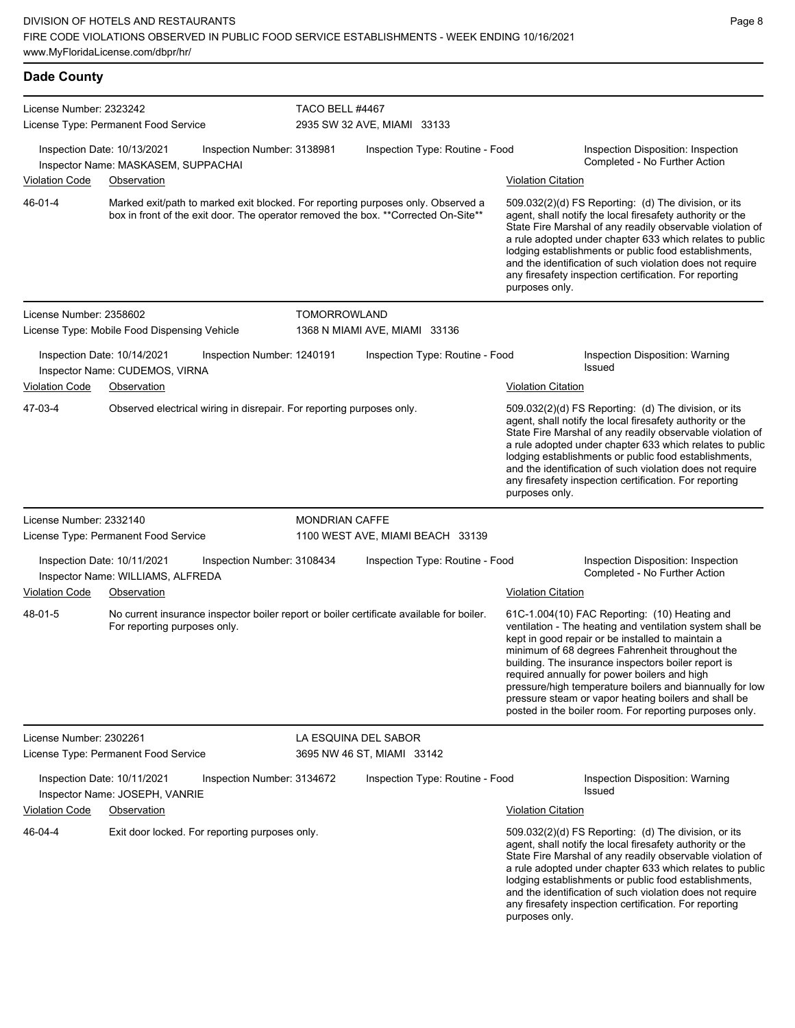| <b>Dade County</b>               |                                                                                                                                                                         |                            |                                                                                          |                           |                                                                                                                                                                                                                                                                                                                                                                                                                                                                                                          |
|----------------------------------|-------------------------------------------------------------------------------------------------------------------------------------------------------------------------|----------------------------|------------------------------------------------------------------------------------------|---------------------------|----------------------------------------------------------------------------------------------------------------------------------------------------------------------------------------------------------------------------------------------------------------------------------------------------------------------------------------------------------------------------------------------------------------------------------------------------------------------------------------------------------|
| License Number: 2323242          | License Type: Permanent Food Service                                                                                                                                    | TACO BELL #4467            | 2935 SW 32 AVE, MIAMI 33133                                                              |                           |                                                                                                                                                                                                                                                                                                                                                                                                                                                                                                          |
| Violation Code                   | Inspection Date: 10/13/2021<br>Inspector Name: MASKASEM, SUPPACHAI<br>Observation                                                                                       | Inspection Number: 3138981 | Inspection Type: Routine - Food                                                          | <b>Violation Citation</b> | Inspection Disposition: Inspection<br>Completed - No Further Action                                                                                                                                                                                                                                                                                                                                                                                                                                      |
| 46-01-4                          | Marked exit/path to marked exit blocked. For reporting purposes only. Observed a<br>box in front of the exit door. The operator removed the box. ** Corrected On-Site** |                            |                                                                                          | purposes only.            | 509.032(2)(d) FS Reporting: (d) The division, or its<br>agent, shall notify the local firesafety authority or the<br>State Fire Marshal of any readily observable violation of<br>a rule adopted under chapter 633 which relates to public<br>lodging establishments or public food establishments,<br>and the identification of such violation does not require<br>any firesafety inspection certification. For reporting                                                                               |
| License Number: 2358602          | License Type: Mobile Food Dispensing Vehicle                                                                                                                            | <b>TOMORROWLAND</b>        | 1368 N MIAMI AVE, MIAMI 33136                                                            |                           |                                                                                                                                                                                                                                                                                                                                                                                                                                                                                                          |
| <b>Violation Code</b>            | Inspection Date: 10/14/2021<br>Inspector Name: CUDEMOS, VIRNA<br>Observation                                                                                            | Inspection Number: 1240191 | Inspection Type: Routine - Food                                                          | <b>Violation Citation</b> | Inspection Disposition: Warning<br><b>Issued</b>                                                                                                                                                                                                                                                                                                                                                                                                                                                         |
| 47-03-4                          | Observed electrical wiring in disrepair. For reporting purposes only.                                                                                                   |                            |                                                                                          | purposes only.            | 509.032(2)(d) FS Reporting: (d) The division, or its<br>agent, shall notify the local firesafety authority or the<br>State Fire Marshal of any readily observable violation of<br>a rule adopted under chapter 633 which relates to public<br>lodging establishments or public food establishments,<br>and the identification of such violation does not require<br>any firesafety inspection certification. For reporting                                                                               |
| License Number: 2332140          |                                                                                                                                                                         | <b>MONDRIAN CAFFE</b>      |                                                                                          |                           |                                                                                                                                                                                                                                                                                                                                                                                                                                                                                                          |
|                                  | License Type: Permanent Food Service                                                                                                                                    |                            | 1100 WEST AVE, MIAMI BEACH 33139                                                         |                           |                                                                                                                                                                                                                                                                                                                                                                                                                                                                                                          |
|                                  | Inspection Date: 10/11/2021<br>Inspector Name: WILLIAMS, ALFREDA                                                                                                        | Inspection Number: 3108434 | Inspection Type: Routine - Food                                                          |                           | Inspection Disposition: Inspection<br>Completed - No Further Action                                                                                                                                                                                                                                                                                                                                                                                                                                      |
| <b>Violation Code</b><br>48-01-5 | Observation<br>For reporting purposes only.                                                                                                                             |                            | No current insurance inspector boiler report or boiler certificate available for boiler. | <b>Violation Citation</b> | 61C-1.004(10) FAC Reporting: (10) Heating and<br>ventilation - The heating and ventilation system shall be<br>kept in good repair or be installed to maintain a<br>minimum of 68 degrees Fahrenheit throughout the<br>building. The insurance inspectors boiler report is<br>required annually for power boilers and high<br>pressure/high temperature boilers and biannually for low<br>pressure steam or vapor heating boilers and shall be<br>posted in the boiler room. For reporting purposes only. |
| License Number: 2302261          |                                                                                                                                                                         |                            | LA ESQUINA DEL SABOR                                                                     |                           |                                                                                                                                                                                                                                                                                                                                                                                                                                                                                                          |
|                                  | License Type: Permanent Food Service                                                                                                                                    |                            | 3695 NW 46 ST, MIAMI 33142                                                               |                           |                                                                                                                                                                                                                                                                                                                                                                                                                                                                                                          |
|                                  | Inspection Date: 10/11/2021<br>Inspector Name: JOSEPH, VANRIE                                                                                                           | Inspection Number: 3134672 | Inspection Type: Routine - Food                                                          |                           | Inspection Disposition: Warning<br>Issued                                                                                                                                                                                                                                                                                                                                                                                                                                                                |
| Violation Code                   | Observation                                                                                                                                                             |                            |                                                                                          | <b>Violation Citation</b> |                                                                                                                                                                                                                                                                                                                                                                                                                                                                                                          |
| 46-04-4                          | Exit door locked. For reporting purposes only.                                                                                                                          |                            |                                                                                          |                           | 509.032(2)(d) FS Reporting: (d) The division, or its<br>agent, shall notify the local firesafety authority or the<br>State Fire Marshal of any readily observable violation of<br>a rule adopted under chapter 633 which relates to public<br>lodging establishments or public food establishments,<br>and the identification of such violation does not require<br>any firesafety inspection certification. For reporting                                                                               |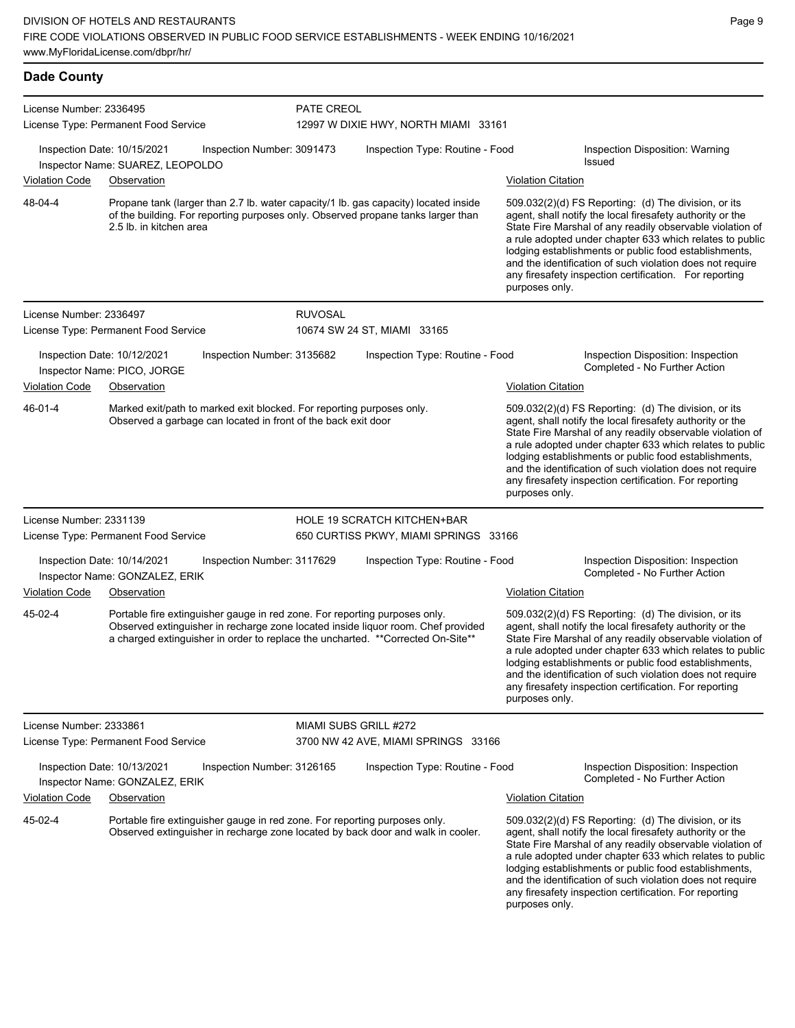| <b>Dade County</b>      |                                                                                                                                                                                                                                                    |                |                                       |                           |                                                                                                                                                                                                                                                                                                                                                                                                                            |
|-------------------------|----------------------------------------------------------------------------------------------------------------------------------------------------------------------------------------------------------------------------------------------------|----------------|---------------------------------------|---------------------------|----------------------------------------------------------------------------------------------------------------------------------------------------------------------------------------------------------------------------------------------------------------------------------------------------------------------------------------------------------------------------------------------------------------------------|
| License Number: 2336495 | License Type: Permanent Food Service                                                                                                                                                                                                               | PATE CREOL     | 12997 W DIXIE HWY, NORTH MIAMI 33161  |                           |                                                                                                                                                                                                                                                                                                                                                                                                                            |
|                         | Inspection Date: 10/15/2021<br>Inspection Number: 3091473<br>Inspector Name: SUAREZ, LEOPOLDO                                                                                                                                                      |                | Inspection Type: Routine - Food       |                           | Inspection Disposition: Warning<br><b>Issued</b>                                                                                                                                                                                                                                                                                                                                                                           |
| Violation Code          | Observation                                                                                                                                                                                                                                        |                |                                       | <b>Violation Citation</b> |                                                                                                                                                                                                                                                                                                                                                                                                                            |
| 48-04-4                 | Propane tank (larger than 2.7 lb. water capacity/1 lb. gas capacity) located inside<br>of the building. For reporting purposes only. Observed propane tanks larger than<br>2.5 lb. in kitchen area                                                 |                |                                       | purposes only.            | 509.032(2)(d) FS Reporting: (d) The division, or its<br>agent, shall notify the local firesafety authority or the<br>State Fire Marshal of any readily observable violation of<br>a rule adopted under chapter 633 which relates to public<br>lodging establishments or public food establishments,<br>and the identification of such violation does not require<br>any firesafety inspection certification. For reporting |
| License Number: 2336497 | License Type: Permanent Food Service                                                                                                                                                                                                               | <b>RUVOSAL</b> | 10674 SW 24 ST, MIAMI 33165           |                           |                                                                                                                                                                                                                                                                                                                                                                                                                            |
|                         | Inspection Date: 10/12/2021<br>Inspection Number: 3135682<br>Inspector Name: PICO, JORGE                                                                                                                                                           |                | Inspection Type: Routine - Food       |                           | Inspection Disposition: Inspection<br>Completed - No Further Action                                                                                                                                                                                                                                                                                                                                                        |
| <b>Violation Code</b>   | Observation                                                                                                                                                                                                                                        |                |                                       | <b>Violation Citation</b> |                                                                                                                                                                                                                                                                                                                                                                                                                            |
| 46-01-4                 | Marked exit/path to marked exit blocked. For reporting purposes only.<br>Observed a garbage can located in front of the back exit door                                                                                                             |                |                                       | purposes only.            | 509.032(2)(d) FS Reporting: (d) The division, or its<br>agent, shall notify the local firesafety authority or the<br>State Fire Marshal of any readily observable violation of<br>a rule adopted under chapter 633 which relates to public<br>lodging establishments or public food establishments,<br>and the identification of such violation does not require<br>any firesafety inspection certification. For reporting |
| License Number: 2331139 |                                                                                                                                                                                                                                                    |                | <b>HOLE 19 SCRATCH KITCHEN+BAR</b>    |                           |                                                                                                                                                                                                                                                                                                                                                                                                                            |
|                         | License Type: Permanent Food Service                                                                                                                                                                                                               |                | 650 CURTISS PKWY, MIAMI SPRINGS 33166 |                           |                                                                                                                                                                                                                                                                                                                                                                                                                            |
|                         | Inspection Date: 10/14/2021<br>Inspection Number: 3117629<br>Inspector Name: GONZALEZ, ERIK                                                                                                                                                        |                | Inspection Type: Routine - Food       |                           | Inspection Disposition: Inspection<br>Completed - No Further Action                                                                                                                                                                                                                                                                                                                                                        |
| <b>Violation Code</b>   | Observation                                                                                                                                                                                                                                        |                |                                       | <b>Violation Citation</b> |                                                                                                                                                                                                                                                                                                                                                                                                                            |
| 45-02-4                 | Portable fire extinguisher gauge in red zone. For reporting purposes only.<br>Observed extinguisher in recharge zone located inside liquor room. Chef provided<br>a charged extinguisher in order to replace the uncharted. ** Corrected On-Site** |                |                                       | purposes only.            | 509.032(2)(d) FS Reporting: (d) The division, or its<br>agent, shall notify the local firesafety authority or the<br>State Fire Marshal of any readily observable violation of<br>a rule adopted under chapter 633 which relates to public<br>lodging establishments or public food establishments,<br>and the identification of such violation does not require<br>any firesafety inspection certification. For reporting |
| License Number: 2333861 |                                                                                                                                                                                                                                                    |                | MIAMI SUBS GRILL #272                 |                           |                                                                                                                                                                                                                                                                                                                                                                                                                            |
|                         | License Type: Permanent Food Service                                                                                                                                                                                                               |                | 3700 NW 42 AVE, MIAMI SPRINGS 33166   |                           |                                                                                                                                                                                                                                                                                                                                                                                                                            |
|                         | Inspection Date: 10/13/2021<br>Inspection Number: 3126165<br>Inspector Name: GONZALEZ, ERIK                                                                                                                                                        |                | Inspection Type: Routine - Food       |                           | Inspection Disposition: Inspection<br>Completed - No Further Action                                                                                                                                                                                                                                                                                                                                                        |
| Violation Code          | Observation                                                                                                                                                                                                                                        |                |                                       | <b>Violation Citation</b> |                                                                                                                                                                                                                                                                                                                                                                                                                            |
| 45-02-4                 | Portable fire extinguisher gauge in red zone. For reporting purposes only.<br>Observed extinguisher in recharge zone located by back door and walk in cooler.                                                                                      |                |                                       |                           | 509.032(2)(d) FS Reporting: (d) The division, or its<br>agent, shall notify the local firesafety authority or the<br>State Fire Marshal of any readily observable violation of<br>a rule adopted under chapter 633 which relates to public                                                                                                                                                                                 |

lodging establishments or public food establishments, and the identification of such violation does not require any firesafety inspection certification. For reporting purposes only.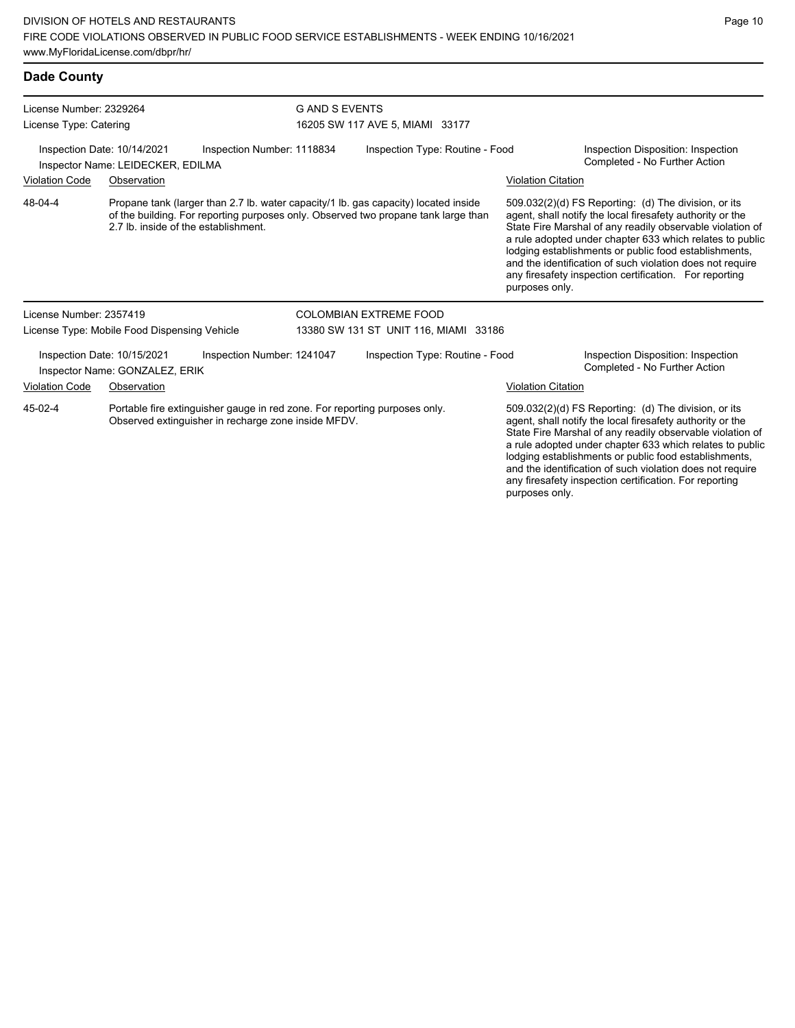| <b>Dade County</b>                                                                             |                                                                                                                                                                                                                   |                            |                                       |                           |                                                                                                                                                                                                                                                                                                                                                                                                                            |
|------------------------------------------------------------------------------------------------|-------------------------------------------------------------------------------------------------------------------------------------------------------------------------------------------------------------------|----------------------------|---------------------------------------|---------------------------|----------------------------------------------------------------------------------------------------------------------------------------------------------------------------------------------------------------------------------------------------------------------------------------------------------------------------------------------------------------------------------------------------------------------------|
| License Number: 2329264<br>License Type: Catering                                              |                                                                                                                                                                                                                   | <b>GAND SEVENTS</b>        | 16205 SW 117 AVE 5, MIAMI 33177       |                           |                                                                                                                                                                                                                                                                                                                                                                                                                            |
| Inspection Date: 10/14/2021<br>Inspection Number: 1118834<br>Inspector Name: LEIDECKER, EDILMA |                                                                                                                                                                                                                   |                            | Inspection Type: Routine - Food       |                           | Inspection Disposition: Inspection<br>Completed - No Further Action                                                                                                                                                                                                                                                                                                                                                        |
| <b>Violation Code</b>                                                                          | Observation                                                                                                                                                                                                       |                            |                                       | <b>Violation Citation</b> |                                                                                                                                                                                                                                                                                                                                                                                                                            |
| 48-04-4                                                                                        | Propane tank (larger than 2.7 lb. water capacity/1 lb. gas capacity) located inside<br>of the building. For reporting purposes only. Observed two propane tank large than<br>2.7 lb. inside of the establishment. |                            |                                       | purposes only.            | 509.032(2)(d) FS Reporting: (d) The division, or its<br>agent, shall notify the local firesafety authority or the<br>State Fire Marshal of any readily observable violation of<br>a rule adopted under chapter 633 which relates to public<br>lodging establishments or public food establishments,<br>and the identification of such violation does not require<br>any firesafety inspection certification. For reporting |
| License Number: 2357419                                                                        |                                                                                                                                                                                                                   |                            | COLOMBIAN EXTREME FOOD                |                           |                                                                                                                                                                                                                                                                                                                                                                                                                            |
|                                                                                                | License Type: Mobile Food Dispensing Vehicle                                                                                                                                                                      |                            | 13380 SW 131 ST UNIT 116, MIAMI 33186 |                           |                                                                                                                                                                                                                                                                                                                                                                                                                            |
|                                                                                                | Inspection Date: 10/15/2021<br>Inspector Name: GONZALEZ, ERIK                                                                                                                                                     | Inspection Number: 1241047 | Inspection Type: Routine - Food       |                           | Inspection Disposition: Inspection<br>Completed - No Further Action                                                                                                                                                                                                                                                                                                                                                        |
| <b>Violation Code</b>                                                                          | Observation                                                                                                                                                                                                       |                            |                                       | <b>Violation Citation</b> |                                                                                                                                                                                                                                                                                                                                                                                                                            |
| 45-02-4                                                                                        | Portable fire extinguisher gauge in red zone. For reporting purposes only.<br>Observed extinguisher in recharge zone inside MFDV.                                                                                 |                            |                                       |                           | 509.032(2)(d) FS Reporting: (d) The division, or its<br>agent, shall notify the local firesafety authority or the<br>State Fire Marshal of any readily observable violation of<br>a rule adopted under chapter 633 which relates to public                                                                                                                                                                                 |

Page 10

lodging establishments or public food establishments, and the identification of such violation does not require any firesafety inspection certification. For reporting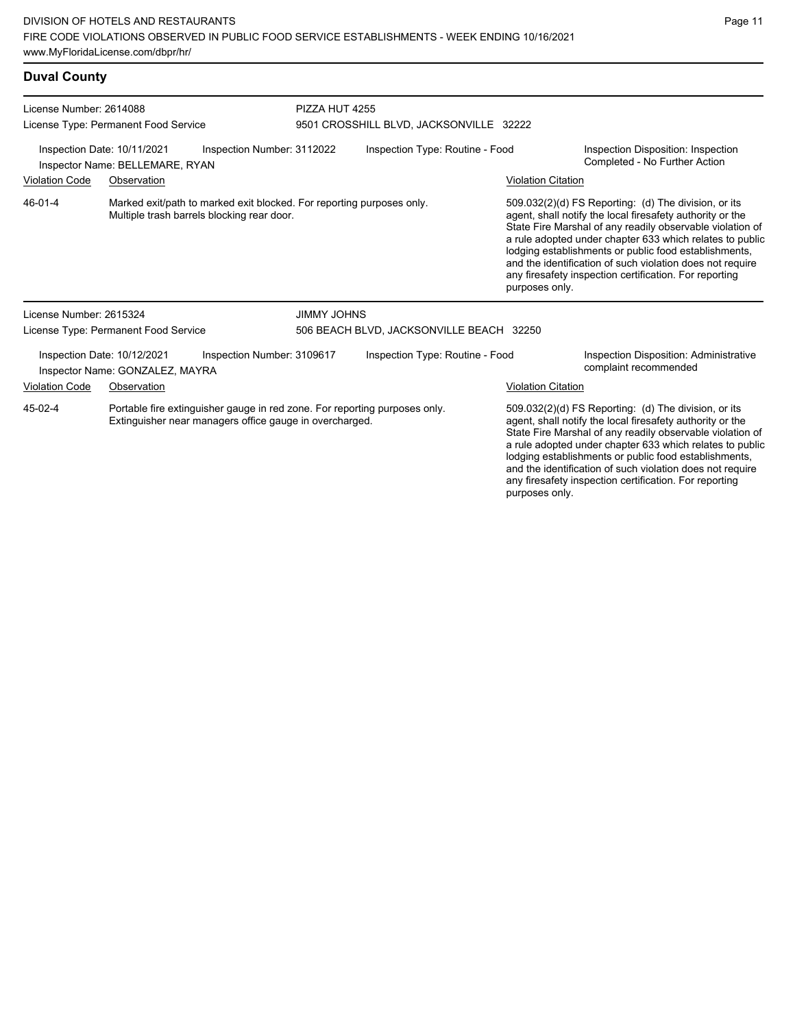### **Duval County**

| License Number: 2614088                                                                      |                                                                | PIZZA HUT 4255                                                                                                                        |                                                                                                                                                                                                                                                                                                                                 |                                          |                                                                                                                                                                                    |                                                                                                                                                                                                                                                                                                     |  |
|----------------------------------------------------------------------------------------------|----------------------------------------------------------------|---------------------------------------------------------------------------------------------------------------------------------------|---------------------------------------------------------------------------------------------------------------------------------------------------------------------------------------------------------------------------------------------------------------------------------------------------------------------------------|------------------------------------------|------------------------------------------------------------------------------------------------------------------------------------------------------------------------------------|-----------------------------------------------------------------------------------------------------------------------------------------------------------------------------------------------------------------------------------------------------------------------------------------------------|--|
|                                                                                              | License Type: Permanent Food Service                           |                                                                                                                                       | 9501 CROSSHILL BLVD, JACKSONVILLE 32222                                                                                                                                                                                                                                                                                         |                                          |                                                                                                                                                                                    |                                                                                                                                                                                                                                                                                                     |  |
| Inspection Date: 10/11/2021<br>Inspection Number: 3112022<br>Inspector Name: BELLEMARE, RYAN |                                                                |                                                                                                                                       | Inspection Type: Routine - Food                                                                                                                                                                                                                                                                                                 |                                          |                                                                                                                                                                                    | Inspection Disposition: Inspection<br>Completed - No Further Action                                                                                                                                                                                                                                 |  |
| <b>Violation Code</b>                                                                        | Observation                                                    |                                                                                                                                       |                                                                                                                                                                                                                                                                                                                                 |                                          | <b>Violation Citation</b>                                                                                                                                                          |                                                                                                                                                                                                                                                                                                     |  |
| 46-01-4                                                                                      |                                                                | Multiple trash barrels blocking rear door.                                                                                            | Marked exit/path to marked exit blocked. For reporting purposes only.<br>509.032(2)(d) FS Reporting: (d) The division, or its<br>agent, shall notify the local firesafety authority or the<br>lodging establishments or public food establishments,<br>any firesafety inspection certification. For reporting<br>purposes only. |                                          | State Fire Marshal of any readily observable violation of<br>a rule adopted under chapter 633 which relates to public<br>and the identification of such violation does not require |                                                                                                                                                                                                                                                                                                     |  |
| License Number: 2615324                                                                      |                                                                |                                                                                                                                       | <b>JIMMY JOHNS</b>                                                                                                                                                                                                                                                                                                              |                                          |                                                                                                                                                                                    |                                                                                                                                                                                                                                                                                                     |  |
|                                                                                              | License Type: Permanent Food Service                           |                                                                                                                                       |                                                                                                                                                                                                                                                                                                                                 | 506 BEACH BLVD, JACKSONVILLE BEACH 32250 |                                                                                                                                                                                    |                                                                                                                                                                                                                                                                                                     |  |
|                                                                                              | Inspection Date: 10/12/2021<br>Inspector Name: GONZALEZ, MAYRA | Inspection Number: 3109617                                                                                                            |                                                                                                                                                                                                                                                                                                                                 | Inspection Type: Routine - Food          |                                                                                                                                                                                    | Inspection Disposition: Administrative<br>complaint recommended                                                                                                                                                                                                                                     |  |
| <b>Violation Code</b>                                                                        | Observation                                                    |                                                                                                                                       |                                                                                                                                                                                                                                                                                                                                 |                                          | <b>Violation Citation</b>                                                                                                                                                          |                                                                                                                                                                                                                                                                                                     |  |
| 45-02-4                                                                                      |                                                                | Portable fire extinguisher gauge in red zone. For reporting purposes only.<br>Extinguisher near managers office gauge in overcharged. |                                                                                                                                                                                                                                                                                                                                 |                                          |                                                                                                                                                                                    | 509.032(2)(d) FS Reporting: (d) The division, or its<br>agent, shall notify the local firesafety authority or the<br>State Fire Marshal of any readily observable violation of<br>a rule adopted under chapter 633 which relates to public<br>lodging establishments or public food establishments, |  |

and the identification of such violation does not require any firesafety inspection certification. For reporting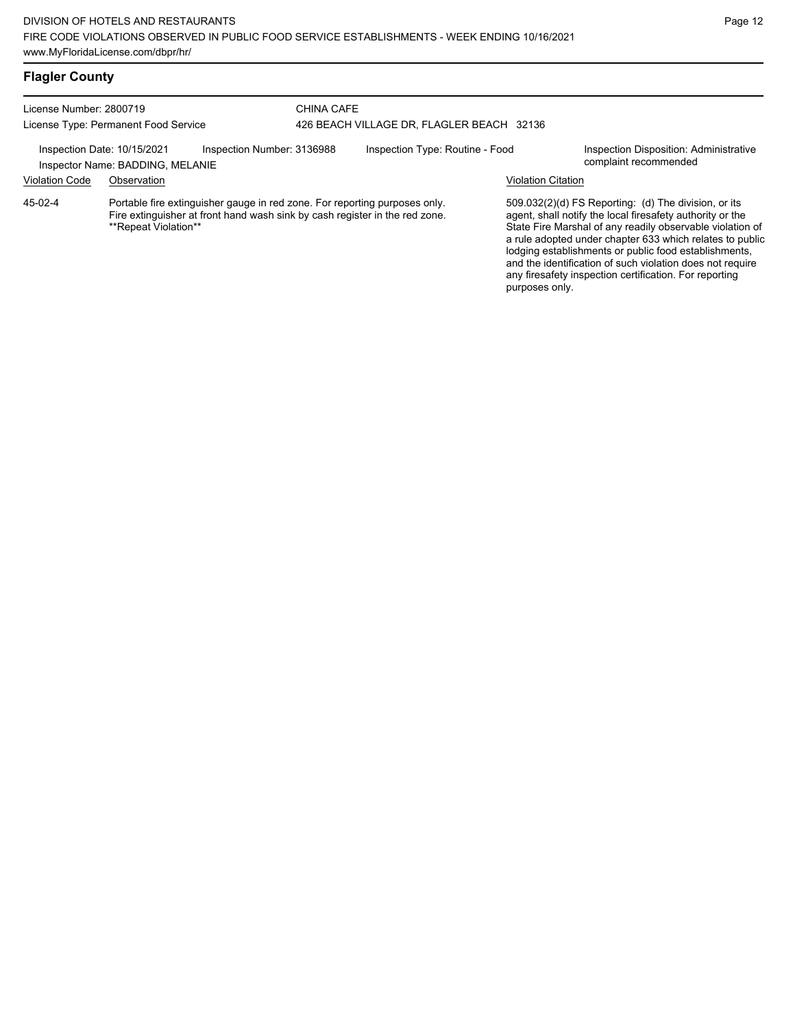## **Flagler County**

| License Number: 2800719<br>License Type: Permanent Food Service                                                                                                                              |             |  | <b>CHINA CAFE</b><br>426 BEACH VILLAGE DR, FLAGLER BEACH 32136 |  |                                                                                                                                                                                                                                                                                                                                                                                                                            |  |
|----------------------------------------------------------------------------------------------------------------------------------------------------------------------------------------------|-------------|--|----------------------------------------------------------------|--|----------------------------------------------------------------------------------------------------------------------------------------------------------------------------------------------------------------------------------------------------------------------------------------------------------------------------------------------------------------------------------------------------------------------------|--|
| Inspection Number: 3136988<br>Inspection Date: 10/15/2021<br>Inspector Name: BADDING, MELANIE                                                                                                |             |  | Inspection Type: Routine - Food                                |  | Inspection Disposition: Administrative<br>complaint recommended                                                                                                                                                                                                                                                                                                                                                            |  |
| <b>Violation Code</b>                                                                                                                                                                        | Observation |  |                                                                |  | <b>Violation Citation</b>                                                                                                                                                                                                                                                                                                                                                                                                  |  |
| Portable fire extinguisher gauge in red zone. For reporting purposes only.<br>45-02-4<br>Fire extinguisher at front hand wash sink by cash register in the red zone.<br>**Repeat Violation** |             |  |                                                                |  | 509.032(2)(d) FS Reporting: (d) The division, or its<br>agent, shall notify the local firesafety authority or the<br>State Fire Marshal of any readily observable violation of<br>a rule adopted under chapter 633 which relates to public<br>lodging establishments or public food establishments,<br>and the identification of such violation does not require<br>any firesafety inspection certification. For reporting |  |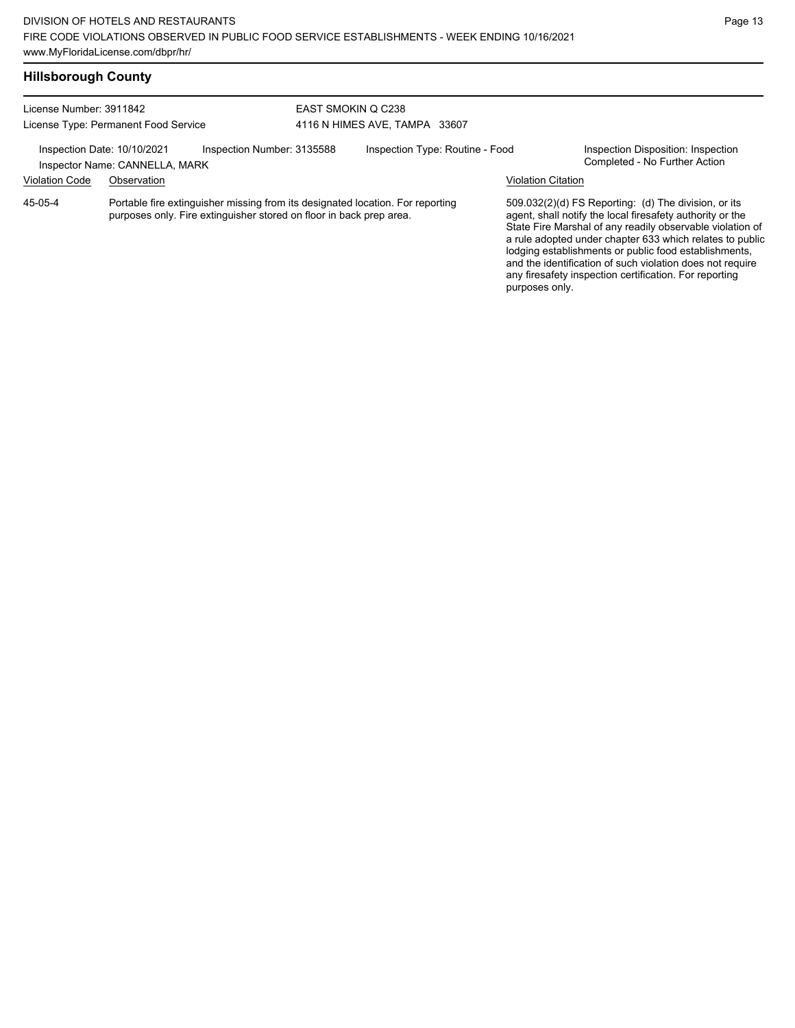| License Number: 3911842<br>License Type: Permanent Food Service<br>Inspection Number: 3135588<br>Inspection Date: 10/10/2021<br>Inspector Name: CANNELLA, MARK |  |                                                                     | EAST SMOKIN Q C238<br>4116 N HIMES AVE, TAMPA 33607 |                                                                                |  |                                                                                                                                                                                                                                                                                                                                                                  |  |
|----------------------------------------------------------------------------------------------------------------------------------------------------------------|--|---------------------------------------------------------------------|-----------------------------------------------------|--------------------------------------------------------------------------------|--|------------------------------------------------------------------------------------------------------------------------------------------------------------------------------------------------------------------------------------------------------------------------------------------------------------------------------------------------------------------|--|
|                                                                                                                                                                |  |                                                                     |                                                     |                                                                                |  |                                                                                                                                                                                                                                                                                                                                                                  |  |
|                                                                                                                                                                |  |                                                                     | <b>Violation Code</b>                               | Observation                                                                    |  |                                                                                                                                                                                                                                                                                                                                                                  |  |
| 45-05-4                                                                                                                                                        |  | purposes only. Fire extinguisher stored on floor in back prep area. |                                                     | Portable fire extinguisher missing from its designated location. For reporting |  | 509.032(2)(d) FS Reporting: (d) The division, or its<br>agent, shall notify the local firesafety authority or the<br>State Fire Marshal of any readily observable violation of<br>a rule adopted under chapter 633 which relates to public<br>lodging establishments or public food establishments,<br>and the identification of such violation does not require |  |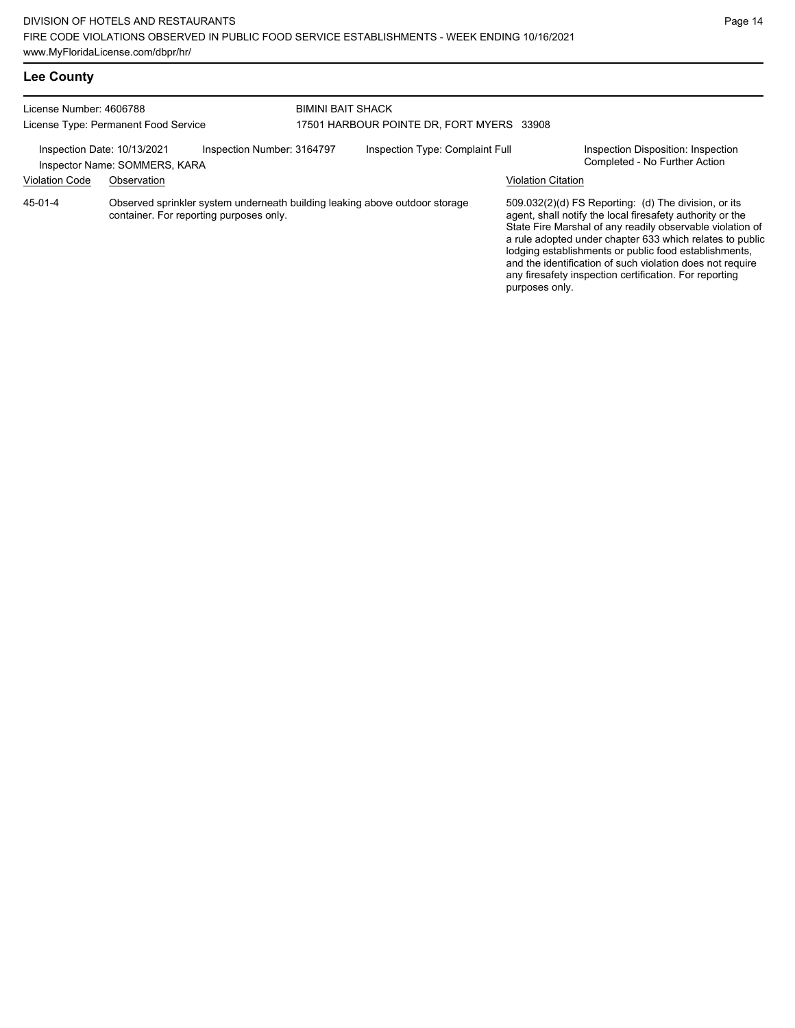| License Number: 4606788                              | License Type: Permanent Food Service                                                                                   | <b>BIMINI BAIT SHACK</b><br>17501 HARBOUR POINTE DR, FORT MYERS 33908 |                           |                                                                                                                                                                                                                                                                                                                                                                                                                            |  |  |
|------------------------------------------------------|------------------------------------------------------------------------------------------------------------------------|-----------------------------------------------------------------------|---------------------------|----------------------------------------------------------------------------------------------------------------------------------------------------------------------------------------------------------------------------------------------------------------------------------------------------------------------------------------------------------------------------------------------------------------------------|--|--|
| Inspection Date: 10/13/2021<br><b>Violation Code</b> | Inspection Number: 3164797<br>Inspector Name: SOMMERS, KARA<br>Observation                                             | Inspection Type: Complaint Full                                       | <b>Violation Citation</b> | Inspection Disposition: Inspection<br>Completed - No Further Action                                                                                                                                                                                                                                                                                                                                                        |  |  |
| 45-01-4                                              | Observed sprinkler system underneath building leaking above outdoor storage<br>container. For reporting purposes only. |                                                                       | purposes only.            | 509.032(2)(d) FS Reporting: (d) The division, or its<br>agent, shall notify the local firesafety authority or the<br>State Fire Marshal of any readily observable violation of<br>a rule adopted under chapter 633 which relates to public<br>lodging establishments or public food establishments,<br>and the identification of such violation does not require<br>any firesafety inspection certification. For reporting |  |  |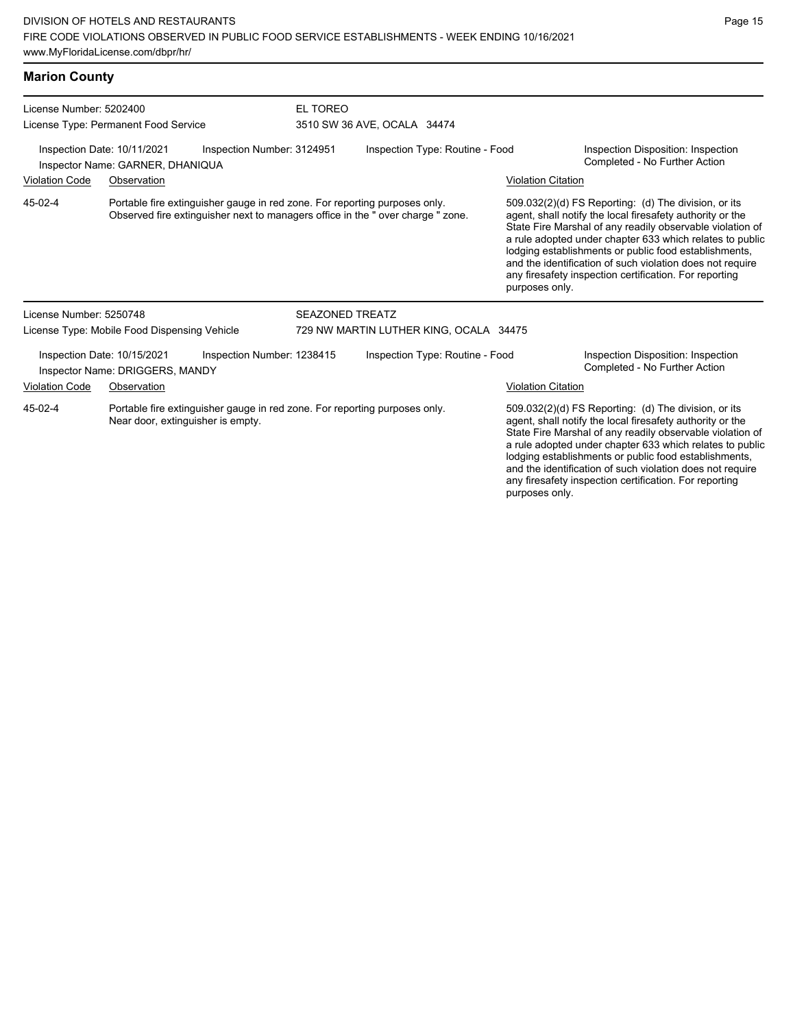Near door, extinguisher is empty.

| <b>Marion County</b>                         |                                                                                                                                                              |                            |                        |                                                      |                                                                                                                                                                                                                                                                                                                                                                                                                                                |                                                                     |  |
|----------------------------------------------|--------------------------------------------------------------------------------------------------------------------------------------------------------------|----------------------------|------------------------|------------------------------------------------------|------------------------------------------------------------------------------------------------------------------------------------------------------------------------------------------------------------------------------------------------------------------------------------------------------------------------------------------------------------------------------------------------------------------------------------------------|---------------------------------------------------------------------|--|
| License Number: 5202400                      |                                                                                                                                                              |                            | EL TOREO               |                                                      |                                                                                                                                                                                                                                                                                                                                                                                                                                                |                                                                     |  |
| License Type: Permanent Food Service         |                                                                                                                                                              |                            |                        | 3510 SW 36 AVE, OCALA 34474                          |                                                                                                                                                                                                                                                                                                                                                                                                                                                |                                                                     |  |
|                                              | Inspection Date: 10/11/2021<br>Inspector Name: GARNER, DHANIQUA                                                                                              | Inspection Number: 3124951 |                        | Inspection Type: Routine - Food                      |                                                                                                                                                                                                                                                                                                                                                                                                                                                | Inspection Disposition: Inspection<br>Completed - No Further Action |  |
| <b>Violation Code</b><br>Observation         |                                                                                                                                                              |                            |                        |                                                      | <b>Violation Citation</b>                                                                                                                                                                                                                                                                                                                                                                                                                      |                                                                     |  |
| 45-02-4                                      | Portable fire extinguisher gauge in red zone. For reporting purposes only.<br>Observed fire extinguisher next to managers office in the "over charge " zone. |                            |                        |                                                      | $509.032(2)(d)$ FS Reporting: (d) The division, or its<br>agent, shall notify the local firesafety authority or the<br>State Fire Marshal of any readily observable violation of<br>a rule adopted under chapter 633 which relates to public<br>lodging establishments or public food establishments,<br>and the identification of such violation does not require<br>any firesafety inspection certification. For reporting<br>purposes only. |                                                                     |  |
| License Number: 5250748                      |                                                                                                                                                              |                            | <b>SEAZONED TREATZ</b> |                                                      |                                                                                                                                                                                                                                                                                                                                                                                                                                                |                                                                     |  |
| License Type: Mobile Food Dispensing Vehicle |                                                                                                                                                              |                            |                        | 729 NW MARTIN LUTHER KING, OCALA 34475               |                                                                                                                                                                                                                                                                                                                                                                                                                                                |                                                                     |  |
|                                              | Inspection Date: 10/15/2021<br>Inspector Name: DRIGGERS, MANDY                                                                                               | Inspection Number: 1238415 |                        | Inspection Type: Routine - Food                      |                                                                                                                                                                                                                                                                                                                                                                                                                                                | Inspection Disposition: Inspection<br>Completed - No Further Action |  |
| <b>Violation Code</b>                        | Observation                                                                                                                                                  |                            |                        |                                                      | <b>Violation Citation</b>                                                                                                                                                                                                                                                                                                                                                                                                                      |                                                                     |  |
| 45-02-4                                      | Portable fire extinguisher gauge in red zone. For reporting purposes only.                                                                                   |                            |                        | 509.032(2)(d) FS Reporting: (d) The division, or its |                                                                                                                                                                                                                                                                                                                                                                                                                                                |                                                                     |  |

agent, shall notify the local firesafety authority or the State Fire Marshal of any readily observable violation of a rule adopted under chapter 633 which relates to public lodging establishments or public food establishments, and the identification of such violation does not require any firesafety inspection certification. For reporting purposes only.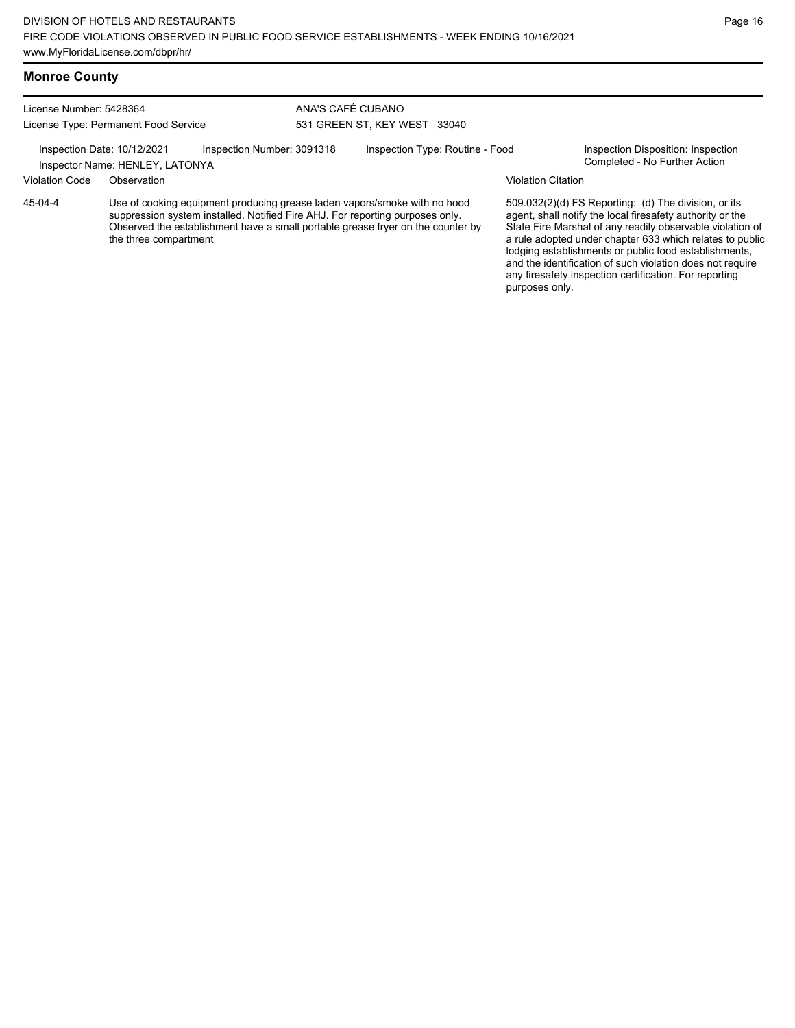### **Monroe County**

License Number: 5428364 License Type: Permanent Food Service

Inspector Name: HENLEY, LATONYA

ANA'S CAFÉ CUBANO 531 GREEN ST, KEY WEST 33040

Inspection Date: 10/12/2021 Inspection Number: 3091318 Inspection Type: Routine - Food Inspection Disposition: Inspection<br>Inspector Name: HENI EV LATONVA

### Violation Code Observation Violation Citation

Use of cooking equipment producing grease laden vapors/smoke with no hood suppression system installed. Notified Fire AHJ. For reporting purposes only. Observed the establishment have a small portable grease fryer on the counter by the three compartment 45-04-4

509.032(2)(d) FS Reporting: (d) The division, or its

agent, shall notify the local firesafety authority or the State Fire Marshal of any readily observable violation of a rule adopted under chapter 633 which relates to public lodging establishments or public food establishments, and the identification of such violation does not require any firesafety inspection certification. For reporting purposes only.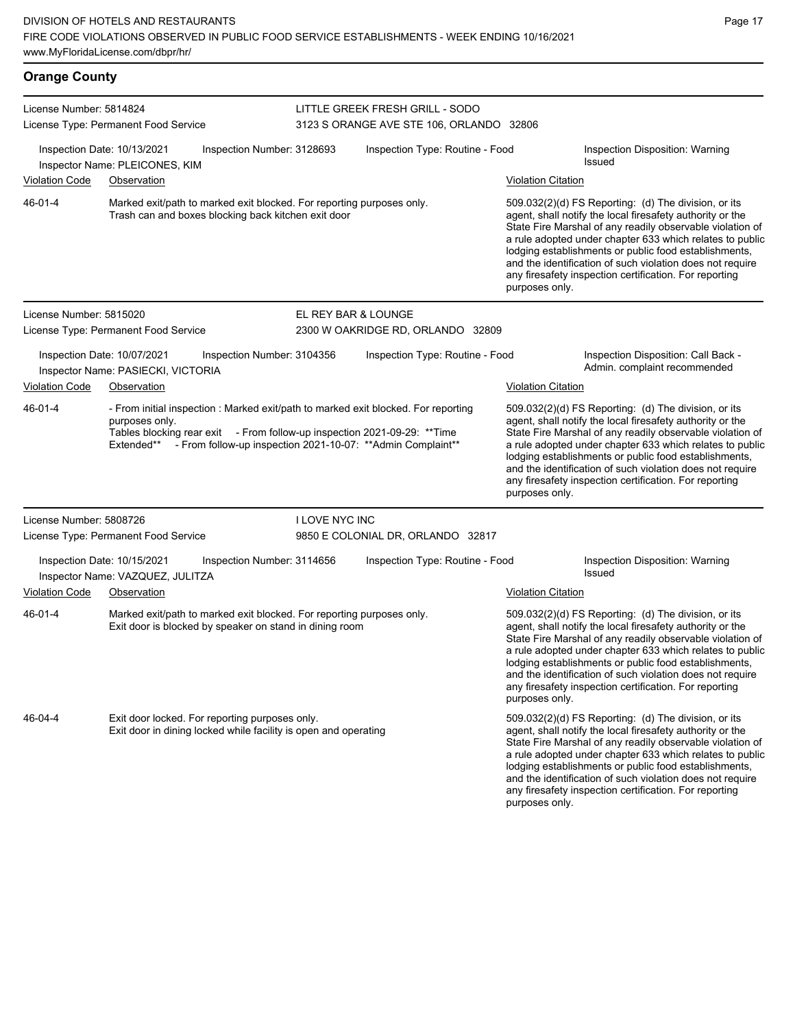| <b>Orange County</b>    |                                                                                                                                                                                                 |                            |                                                              |                                                                                                                                                                                                                                                                                                                                                                                                                                              |                                                                                                                                                                                                                                                                                                                                                                                                                            |  |  |  |  |
|-------------------------|-------------------------------------------------------------------------------------------------------------------------------------------------------------------------------------------------|----------------------------|--------------------------------------------------------------|----------------------------------------------------------------------------------------------------------------------------------------------------------------------------------------------------------------------------------------------------------------------------------------------------------------------------------------------------------------------------------------------------------------------------------------------|----------------------------------------------------------------------------------------------------------------------------------------------------------------------------------------------------------------------------------------------------------------------------------------------------------------------------------------------------------------------------------------------------------------------------|--|--|--|--|
| License Number: 5814824 |                                                                                                                                                                                                 |                            | LITTLE GREEK FRESH GRILL - SODO                              |                                                                                                                                                                                                                                                                                                                                                                                                                                              |                                                                                                                                                                                                                                                                                                                                                                                                                            |  |  |  |  |
|                         | License Type: Permanent Food Service                                                                                                                                                            |                            | 3123 S ORANGE AVE STE 106, ORLANDO 32806                     |                                                                                                                                                                                                                                                                                                                                                                                                                                              |                                                                                                                                                                                                                                                                                                                                                                                                                            |  |  |  |  |
|                         | Inspection Date: 10/13/2021<br>Inspector Name: PLEICONES, KIM                                                                                                                                   | Inspection Number: 3128693 | Inspection Type: Routine - Food                              | Inspection Disposition: Warning<br>Issued                                                                                                                                                                                                                                                                                                                                                                                                    |                                                                                                                                                                                                                                                                                                                                                                                                                            |  |  |  |  |
| <b>Violation Code</b>   | Observation                                                                                                                                                                                     |                            |                                                              | <b>Violation Citation</b>                                                                                                                                                                                                                                                                                                                                                                                                                    |                                                                                                                                                                                                                                                                                                                                                                                                                            |  |  |  |  |
| 46-01-4                 | Marked exit/path to marked exit blocked. For reporting purposes only.<br>Trash can and boxes blocking back kitchen exit door                                                                    |                            |                                                              | 509.032(2)(d) FS Reporting: (d) The division, or its<br>agent, shall notify the local firesafety authority or the<br>State Fire Marshal of any readily observable violation of<br>a rule adopted under chapter 633 which relates to public<br>lodging establishments or public food establishments,<br>and the identification of such violation does not require<br>any firesafety inspection certification. For reporting<br>purposes only. |                                                                                                                                                                                                                                                                                                                                                                                                                            |  |  |  |  |
| License Number: 5815020 |                                                                                                                                                                                                 |                            | EL REY BAR & LOUNGE                                          |                                                                                                                                                                                                                                                                                                                                                                                                                                              |                                                                                                                                                                                                                                                                                                                                                                                                                            |  |  |  |  |
|                         | License Type: Permanent Food Service                                                                                                                                                            |                            | 2300 W OAKRIDGE RD, ORLANDO 32809                            |                                                                                                                                                                                                                                                                                                                                                                                                                                              |                                                                                                                                                                                                                                                                                                                                                                                                                            |  |  |  |  |
|                         | Inspection Date: 10/07/2021<br>Inspector Name: PASIECKI, VICTORIA                                                                                                                               | Inspection Number: 3104356 | Inspection Type: Routine - Food                              |                                                                                                                                                                                                                                                                                                                                                                                                                                              | Inspection Disposition: Call Back -<br>Admin. complaint recommended                                                                                                                                                                                                                                                                                                                                                        |  |  |  |  |
| <b>Violation Code</b>   | Observation                                                                                                                                                                                     |                            |                                                              | <b>Violation Citation</b>                                                                                                                                                                                                                                                                                                                                                                                                                    |                                                                                                                                                                                                                                                                                                                                                                                                                            |  |  |  |  |
| 46-01-4                 | - From initial inspection : Marked exit/path to marked exit blocked. For reporting<br>purposes only.<br>Tables blocking rear exit - From follow-up inspection 2021-09-29: ** Time<br>Extended** |                            | - From follow-up inspection 2021-10-07: ** Admin Complaint** | 509.032(2)(d) FS Reporting: (d) The division, or its<br>agent, shall notify the local firesafety authority or the<br>State Fire Marshal of any readily observable violation of<br>a rule adopted under chapter 633 which relates to public<br>lodging establishments or public food establishments,<br>and the identification of such violation does not require<br>any firesafety inspection certification. For reporting<br>purposes only. |                                                                                                                                                                                                                                                                                                                                                                                                                            |  |  |  |  |
| License Number: 5808726 |                                                                                                                                                                                                 | <b>I LOVE NYC INC</b>      |                                                              |                                                                                                                                                                                                                                                                                                                                                                                                                                              |                                                                                                                                                                                                                                                                                                                                                                                                                            |  |  |  |  |
|                         | License Type: Permanent Food Service                                                                                                                                                            |                            | 9850 E COLONIAL DR, ORLANDO 32817                            |                                                                                                                                                                                                                                                                                                                                                                                                                                              |                                                                                                                                                                                                                                                                                                                                                                                                                            |  |  |  |  |
|                         | Inspection Date: 10/15/2021<br>Inspector Name: VAZQUEZ, JULITZA                                                                                                                                 | Inspection Number: 3114656 | Inspection Type: Routine - Food                              |                                                                                                                                                                                                                                                                                                                                                                                                                                              | Inspection Disposition: Warning<br>Issued                                                                                                                                                                                                                                                                                                                                                                                  |  |  |  |  |
| <b>Violation Code</b>   | Observation                                                                                                                                                                                     |                            |                                                              | <b>Violation Citation</b>                                                                                                                                                                                                                                                                                                                                                                                                                    |                                                                                                                                                                                                                                                                                                                                                                                                                            |  |  |  |  |
| 46-01-4                 | Marked exit/path to marked exit blocked. For reporting purposes only.<br>Exit door is blocked by speaker on stand in dining room                                                                |                            |                                                              | purposes only.                                                                                                                                                                                                                                                                                                                                                                                                                               | 509.032(2)(d) FS Reporting: (d) The division, or its<br>agent, shall notify the local firesafety authority or the<br>State Fire Marshal of any readily observable violation of<br>a rule adopted under chapter 633 which relates to public<br>lodging establishments or public food establishments,<br>and the identification of such violation does not require<br>any firesafety inspection certification. For reporting |  |  |  |  |
| 46-04-4                 | Exit door locked. For reporting purposes only.<br>Exit door in dining locked while facility is open and operating                                                                               |                            |                                                              |                                                                                                                                                                                                                                                                                                                                                                                                                                              | 509.032(2)(d) FS Reporting: (d) The division, or its<br>agent, shall notify the local firesafety authority or the<br>State Fire Marshal of any readily observable violation of<br>a rule adopted under chapter 633 which relates to public<br>lodging establishments or public food establishments,<br>and the identification of such violation does not require<br>any firesafety inspection certification. For reporting |  |  |  |  |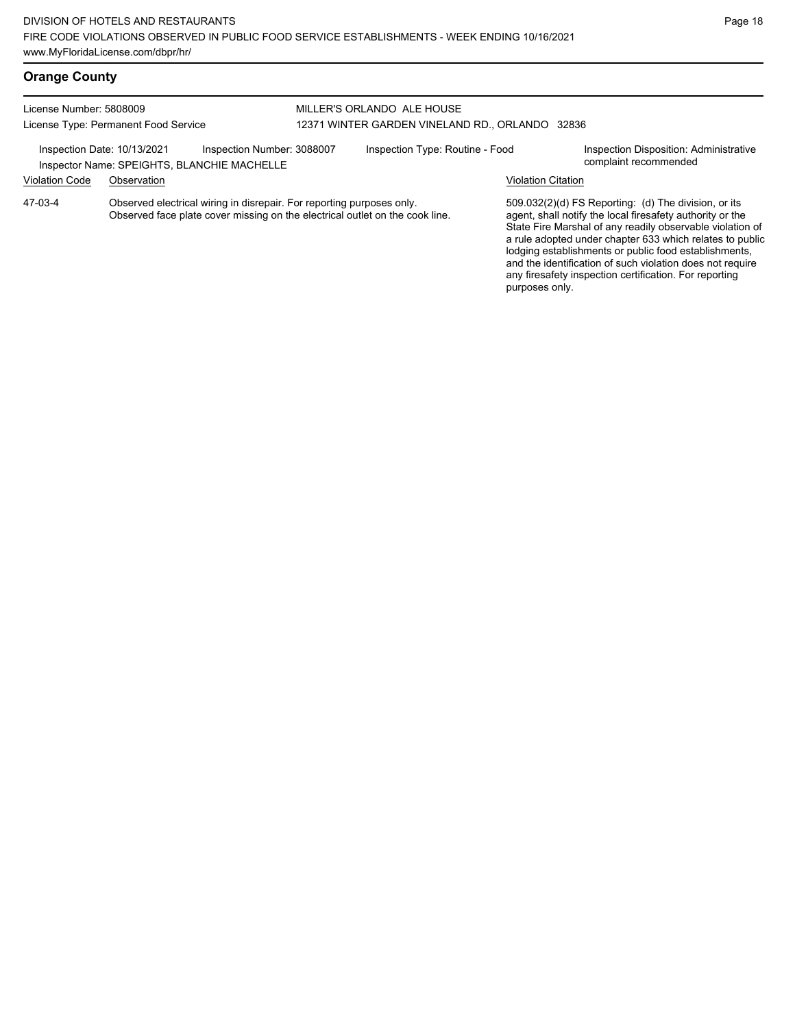purposes only.

# **Orange County**

#### License Number: 5808009 License Type: Permanent Food Service MILLER'S ORLANDO ALE HOUSE 12371 WINTER GARDEN VINELAND RD., ORLANDO 32836 Inspection Date: 10/13/2021 Inspection Number: 3088007 Inspection Type: Routine - Food Inspection Disposition: Administrative<br>Inspector Name: SPEIGHTS BLANCHIE MACHELLE Inspector Name: SPEIGHTS, BLANCHIE MACHELLE Violation Code Observation Violation Citation Observed electrical wiring in disrepair. For reporting purposes only. Observed face plate cover missing on the electrical outlet on the cook line. 509.032(2)(d) FS Reporting: (d) The division, or its agent, shall notify the local firesafety authority or the State Fire Marshal of any readily observable violation of a rule adopted under chapter 633 which relates to public lodging establishments or public food establishments, and the identification of such violation does not require 47-03-4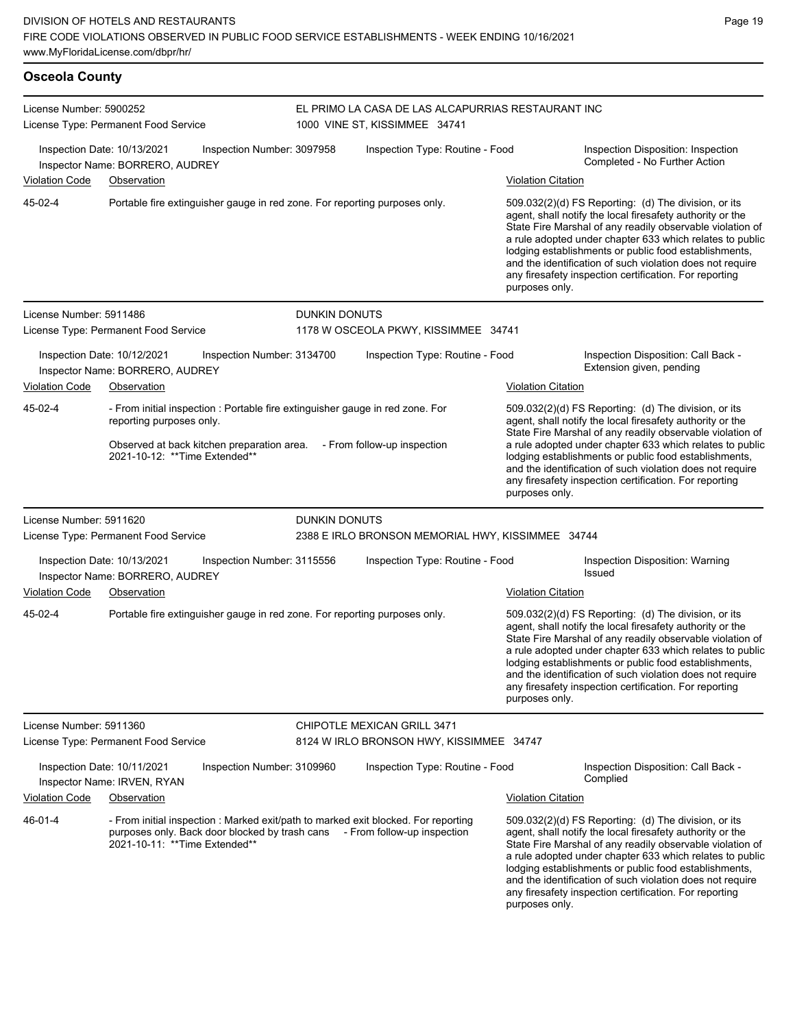### **Osceola County** License Number: 5900252 License Type: Permanent Food Service EL PRIMO LA CASA DE LAS ALCAPURRIAS RESTAURANT INC 1000 VINE ST, KISSIMMEE 34741 Inspection Date: 10/13/2021 Inspection Number: 3097958 Inspection Type: Routine - Food Inspection Disposition: Inspection Completed - No Further Action Inspector Name: BORRERO, AUDREY Violation Code Observation Violation Citation Portable fire extinguisher gauge in red zone. For reporting purposes only. 509.032(2)(d) FS Reporting: (d) The division, or its agent, shall notify the local firesafety authority or the State Fire Marshal of any readily observable violation of a rule adopted under chapter 633 which relates to public lodging establishments or public food establishments, and the identification of such violation does not require any firesafety inspection certification. For reporting purposes only. 45-02-4 License Number: 5911486 License Type: Permanent Food Service DUNKIN DONUTS 1178 W OSCEOLA PKWY, KISSIMMEE 34741 Inspection Date: 10/12/2021 Inspection Number: 3134700 Inspection Type: Routine - Food Inspection Disposition: Call Back - Inspector Name: BORRERO, AUDREY **Inspector Name: BORRERO, AUDREY** Violation Code Observation **Violation Citation** Violation Citation Citation - From initial inspection : Portable fire extinguisher gauge in red zone. For reporting purposes only. Observed at back kitchen preparation area. - From follow-up inspection 2021-10-12: \*\*Time Extended\*\* 509.032(2)(d) FS Reporting: (d) The division, or its agent, shall notify the local firesafety authority or the State Fire Marshal of any readily observable violation of a rule adopted under chapter 633 which relates to public lodging establishments or public food establishments, and the identification of such violation does not require any firesafety inspection certification. For reporting purposes only. 45-02-4 License Number: 5911620 License Type: Permanent Food Service DUNKIN DONUTS 2388 E IRLO BRONSON MEMORIAL HWY, KISSIMMEE 34744 Inspection Date: 10/13/2021 Inspection Number: 3115556 Inspection Type: Routine - Food Inspection Disposition: Warning<br>Inspection Date: ROBBERO AUBBEY Inspector Name: BORRERO, AUDREY Violation Code Observation Violation Citation Portable fire extinguisher gauge in red zone. For reporting purposes only. 509.032(2)(d) FS Reporting: (d) The division, or its agent, shall notify the local firesafety authority or the State Fire Marshal of any readily observable violation of a rule adopted under chapter 633 which relates to public lodging establishments or public food establishments, and the identification of such violation does not require any firesafety inspection certification. For reporting purposes only. 45-02-4 License Number: 5911360 License Type: Permanent Food Service CHIPOTLE MEXICAN GRILL 3471 8124 W IRLO BRONSON HWY, KISSIMMEE 34747 Inspection Date: 10/11/2021 Inspection Number: 3109960 Inspection Type: Routine - Food Inspection Disposition: Call Back -Complied Inspector Name: IRVEN, RYAN

Violation Code Observation Violation Citation

- From initial inspection : Marked exit/path to marked exit blocked. For reporting purposes only. Back door blocked by trash cans - From follow-up inspection 2021-10-11: \*\*Time Extended\*\* 46-01-4

509.032(2)(d) FS Reporting: (d) The division, or its agent, shall notify the local firesafety authority or the State Fire Marshal of any readily observable violation of a rule adopted under chapter 633 which relates to public lodging establishments or public food establishments, and the identification of such violation does not require any firesafety inspection certification. For reporting purposes only.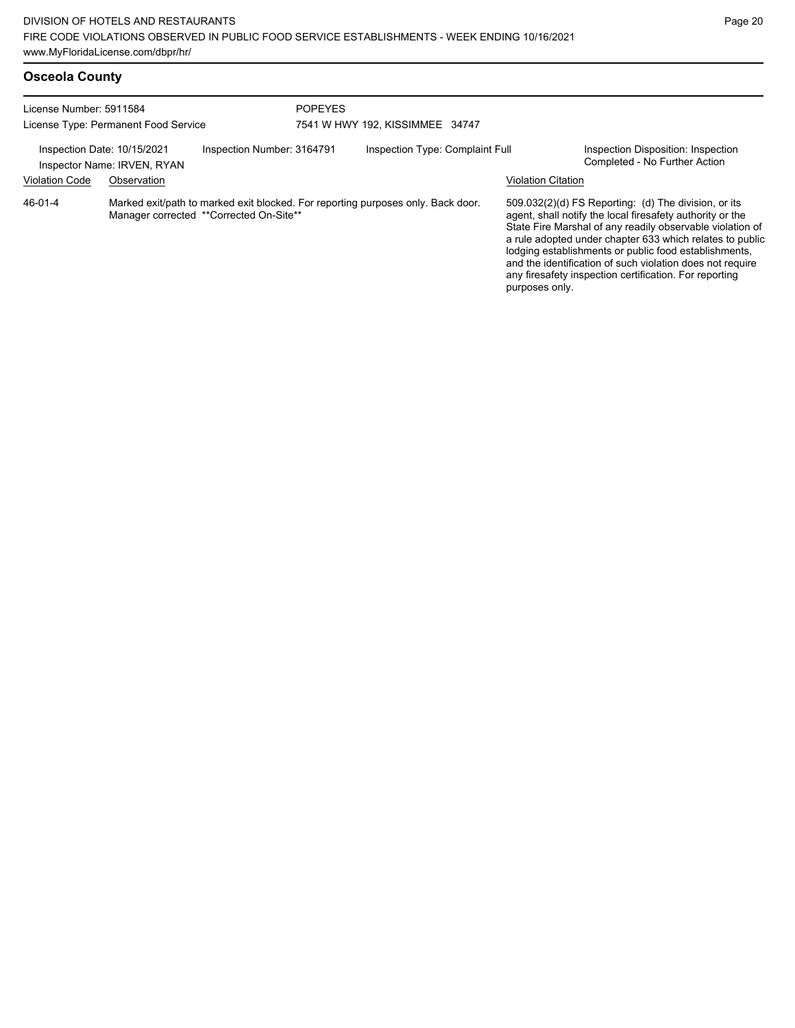| <b>Osceola County</b> |  |
|-----------------------|--|
|-----------------------|--|

| License Number: 5911584<br>License Type: Permanent Food Service                                                                        |                                            |                            | <b>POPEYES</b><br>7541 W HWY 192, KISSIMMEE 34747 |                                 |                |                                                                                                                                                                                                                                                                                                                                                                                                                            |                                                                     |
|----------------------------------------------------------------------------------------------------------------------------------------|--------------------------------------------|----------------------------|---------------------------------------------------|---------------------------------|----------------|----------------------------------------------------------------------------------------------------------------------------------------------------------------------------------------------------------------------------------------------------------------------------------------------------------------------------------------------------------------------------------------------------------------------------|---------------------------------------------------------------------|
| Inspection Date: 10/15/2021<br><b>Violation Code</b>                                                                                   | Inspector Name: IRVEN, RYAN<br>Observation | Inspection Number: 3164791 |                                                   | Inspection Type: Complaint Full |                | <b>Violation Citation</b>                                                                                                                                                                                                                                                                                                                                                                                                  | Inspection Disposition: Inspection<br>Completed - No Further Action |
| 46-01-4<br>Marked exit/path to marked exit blocked. For reporting purposes only. Back door.<br>Manager corrected **Corrected On-Site** |                                            |                            |                                                   |                                 | purposes only. | 509.032(2)(d) FS Reporting: (d) The division, or its<br>agent, shall notify the local firesafety authority or the<br>State Fire Marshal of any readily observable violation of<br>a rule adopted under chapter 633 which relates to public<br>lodging establishments or public food establishments,<br>and the identification of such violation does not require<br>any firesafety inspection certification. For reporting |                                                                     |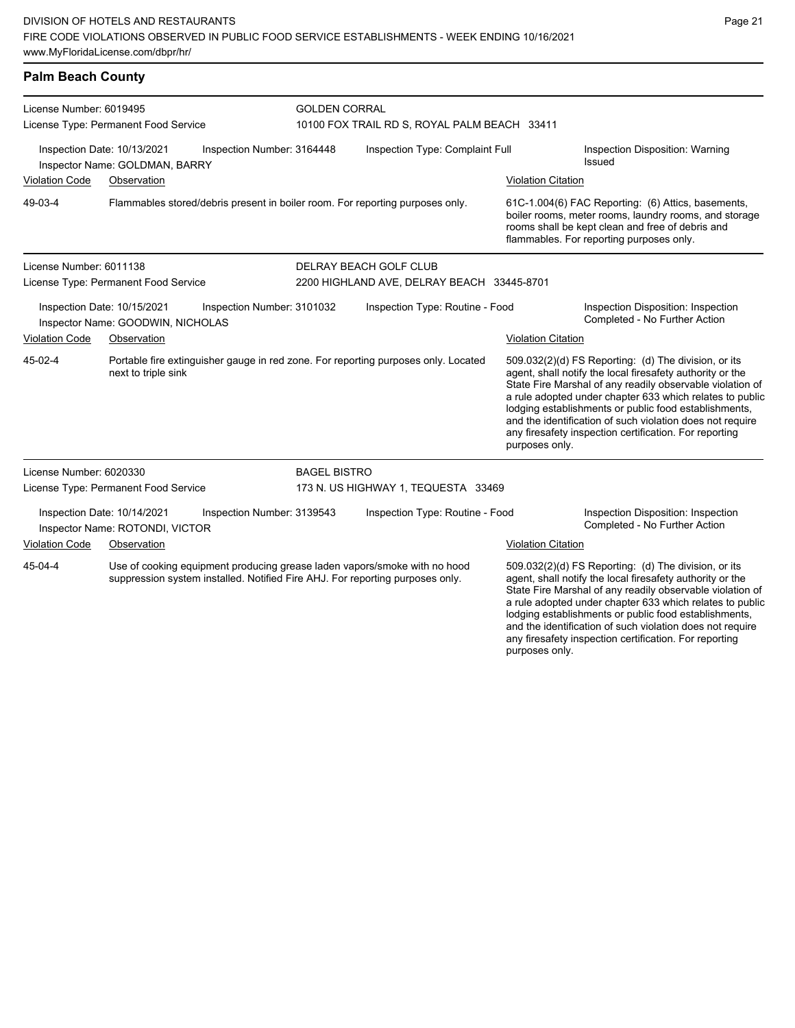| License Number: 6019495                                                                        |                                                                |                            | <b>GOLDEN CORRAL</b><br>10100 FOX TRAIL RD S, ROYAL PALM BEACH 33411 |                                                                                                                                                            |                           |                                                                                                                                                                                                                                                                                                                                                                                                                            |  |  |
|------------------------------------------------------------------------------------------------|----------------------------------------------------------------|----------------------------|----------------------------------------------------------------------|------------------------------------------------------------------------------------------------------------------------------------------------------------|---------------------------|----------------------------------------------------------------------------------------------------------------------------------------------------------------------------------------------------------------------------------------------------------------------------------------------------------------------------------------------------------------------------------------------------------------------------|--|--|
|                                                                                                | License Type: Permanent Food Service                           |                            |                                                                      |                                                                                                                                                            |                           |                                                                                                                                                                                                                                                                                                                                                                                                                            |  |  |
|                                                                                                | Inspection Date: 10/13/2021<br>Inspector Name: GOLDMAN, BARRY  | Inspection Number: 3164448 | Inspection Type: Complaint Full                                      |                                                                                                                                                            |                           | Inspection Disposition: Warning<br>Issued                                                                                                                                                                                                                                                                                                                                                                                  |  |  |
| <b>Violation Code</b><br>Observation                                                           |                                                                |                            |                                                                      |                                                                                                                                                            | <b>Violation Citation</b> |                                                                                                                                                                                                                                                                                                                                                                                                                            |  |  |
| 49-03-4                                                                                        |                                                                |                            |                                                                      | Flammables stored/debris present in boiler room. For reporting purposes only.                                                                              |                           | 61C-1.004(6) FAC Reporting: (6) Attics, basements,<br>boiler rooms, meter rooms, laundry rooms, and storage<br>rooms shall be kept clean and free of debris and<br>flammables. For reporting purposes only.                                                                                                                                                                                                                |  |  |
| License Number: 6011138                                                                        |                                                                |                            |                                                                      | DELRAY BEACH GOLF CLUB                                                                                                                                     |                           |                                                                                                                                                                                                                                                                                                                                                                                                                            |  |  |
|                                                                                                | License Type: Permanent Food Service                           |                            |                                                                      | 2200 HIGHLAND AVE, DELRAY BEACH 33445-8701                                                                                                                 |                           |                                                                                                                                                                                                                                                                                                                                                                                                                            |  |  |
| Inspection Date: 10/15/2021<br>Inspection Number: 3101032<br>Inspector Name: GOODWIN, NICHOLAS |                                                                |                            |                                                                      | Inspection Type: Routine - Food                                                                                                                            |                           | Inspection Disposition: Inspection<br>Completed - No Further Action                                                                                                                                                                                                                                                                                                                                                        |  |  |
| <b>Violation Code</b>                                                                          | Observation                                                    |                            |                                                                      |                                                                                                                                                            | <b>Violation Citation</b> |                                                                                                                                                                                                                                                                                                                                                                                                                            |  |  |
| 45-02-4                                                                                        | next to triple sink                                            |                            |                                                                      | Portable fire extinguisher gauge in red zone. For reporting purposes only. Located                                                                         | purposes only.            | 509.032(2)(d) FS Reporting: (d) The division, or its<br>agent, shall notify the local firesafety authority or the<br>State Fire Marshal of any readily observable violation of<br>a rule adopted under chapter 633 which relates to public<br>lodging establishments or public food establishments,<br>and the identification of such violation does not require<br>any firesafety inspection certification. For reporting |  |  |
| License Number: 6020330                                                                        |                                                                |                            | <b>BAGEL BISTRO</b>                                                  |                                                                                                                                                            |                           |                                                                                                                                                                                                                                                                                                                                                                                                                            |  |  |
|                                                                                                | License Type: Permanent Food Service                           |                            |                                                                      | 173 N. US HIGHWAY 1, TEQUESTA 33469                                                                                                                        |                           |                                                                                                                                                                                                                                                                                                                                                                                                                            |  |  |
|                                                                                                | Inspection Date: 10/14/2021<br>Inspector Name: ROTONDI, VICTOR | Inspection Number: 3139543 |                                                                      | Inspection Type: Routine - Food                                                                                                                            |                           | Inspection Disposition: Inspection<br>Completed - No Further Action                                                                                                                                                                                                                                                                                                                                                        |  |  |
| Violation Code                                                                                 | Observation                                                    |                            |                                                                      |                                                                                                                                                            | <b>Violation Citation</b> |                                                                                                                                                                                                                                                                                                                                                                                                                            |  |  |
| 45-04-4                                                                                        |                                                                |                            |                                                                      | Use of cooking equipment producing grease laden vapors/smoke with no hood<br>suppression system installed. Notified Fire AHJ. For reporting purposes only. |                           | 509.032(2)(d) FS Reporting: (d) The division, or its<br>agent, shall notify the local firesafety authority or the<br>State Fire Marshal of any readily observable violation of<br>a rule adopted under chapter 633 which relates to public<br>lodging establishments or public food establishments,<br>and the identification of such violation does not require                                                           |  |  |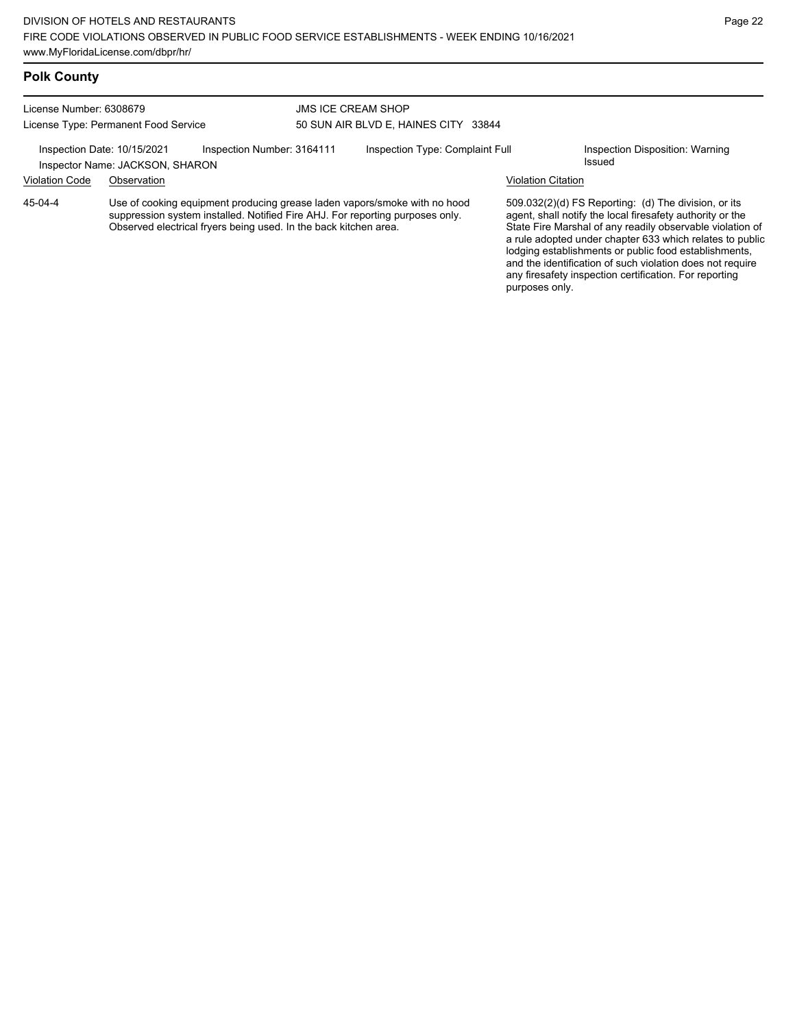## **Polk County**

| License Number: 6308679<br>License Type: Permanent Food Service |             |                                                                  | <b>JMS ICE CREAM SHOP</b><br>50 SUN AIR BLVD E, HAINES CITY 33844 |                                                                                                                                                            |                           |                                                                                                                                                                                                                                                                                                                                                                  |  |
|-----------------------------------------------------------------|-------------|------------------------------------------------------------------|-------------------------------------------------------------------|------------------------------------------------------------------------------------------------------------------------------------------------------------|---------------------------|------------------------------------------------------------------------------------------------------------------------------------------------------------------------------------------------------------------------------------------------------------------------------------------------------------------------------------------------------------------|--|
|                                                                 |             |                                                                  |                                                                   |                                                                                                                                                            |                           |                                                                                                                                                                                                                                                                                                                                                                  |  |
| <b>Violation Code</b>                                           | Observation |                                                                  |                                                                   |                                                                                                                                                            | <b>Violation Citation</b> |                                                                                                                                                                                                                                                                                                                                                                  |  |
| $45-04-4$                                                       |             | Observed electrical fryers being used. In the back kitchen area. |                                                                   | Use of cooking equipment producing grease laden vapors/smoke with no hood<br>suppression system installed. Notified Fire AHJ. For reporting purposes only. |                           | 509.032(2)(d) FS Reporting: (d) The division, or its<br>agent, shall notify the local firesafety authority or the<br>State Fire Marshal of any readily observable violation of<br>a rule adopted under chapter 633 which relates to public<br>lodging establishments or public food establishments,<br>and the identification of such violation does not require |  |

any firesafety inspection certification. For reporting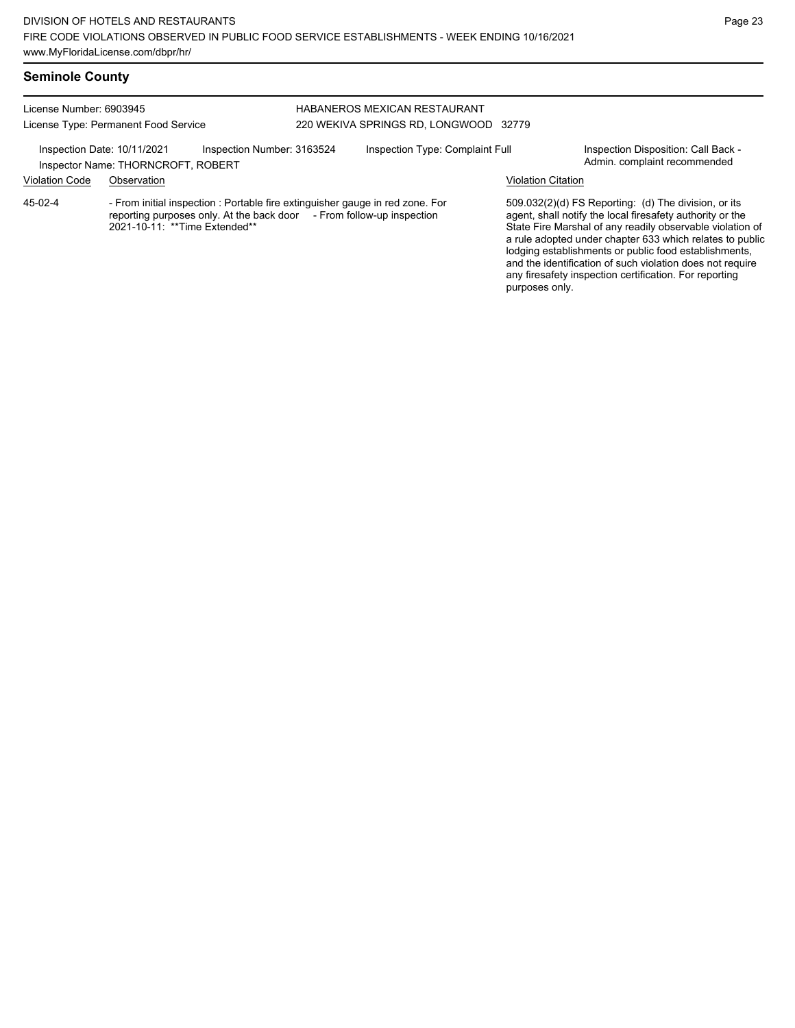#### License Number: 6903945 License Type: Permanent Food Service HABANEROS MEXICAN RESTAURANT 220 WEKIVA SPRINGS RD, LONGWOOD 32779 Inspection Date: 10/11/2021 Inspection Number: 3163524 Inspection Type: Complaint Full Inspection Disposition: Call Back -<br>Inspector Name: THORNCROFT ROBERT Inspector Name: THORNCROFT, ROBERT Violation Code Observation Violation Citation - From initial inspection : Portable fire extinguisher gauge in red zone. For reporting purposes only. At the back door  $\check{\phantom{a}}$  - From follow-up inspection 2021-10-11: \*\*Time Extended\*\* 509.032(2)(d) FS Reporting: (d) The division, or its agent, shall notify the local firesafety authority or the State Fire Marshal of any readily observable violation of a rule adopted under chapter 633 which relates to public lodging establishments or public food establishments, and the identification of such violation does not require any firesafety inspection certification. For reporting 45-02-4